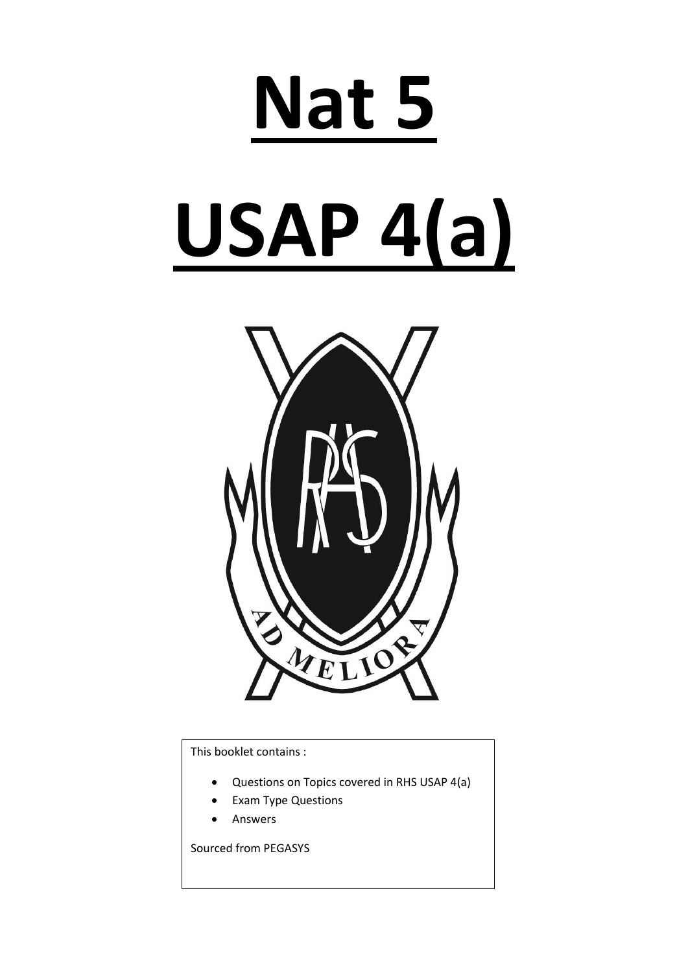# **Nat 5 USAP 4(a)**



This booklet contains :

- Questions on Topics covered in RHS USAP 4(a)
- Exam Type Questions
- Answers

Sourced from PEGASYS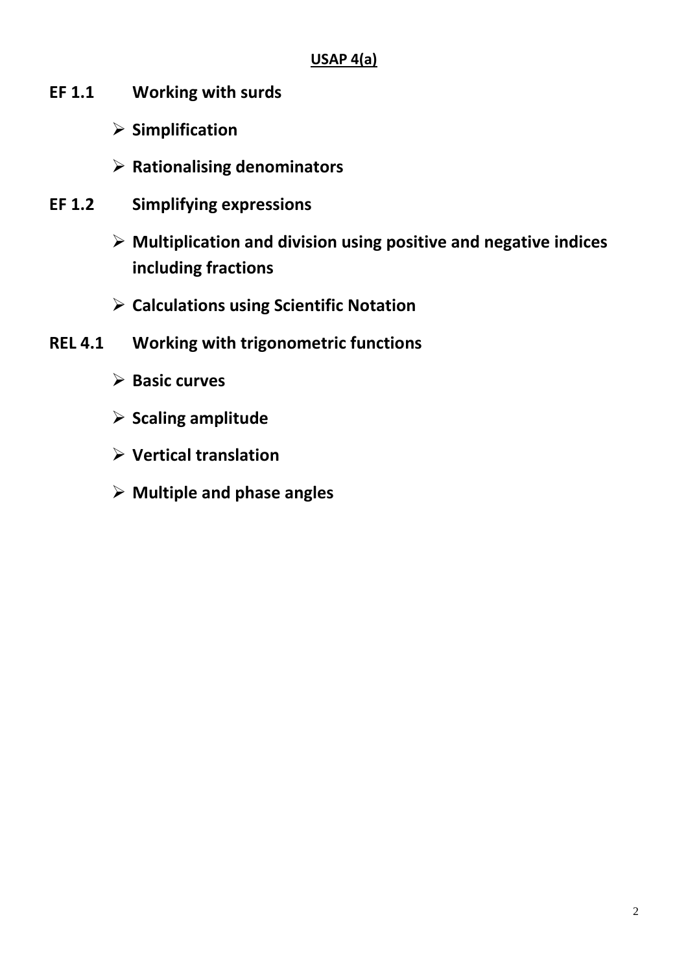## **USAP 4(a)**

- **EF 1.1 Working with surds** 
	- **Simplification**
	- **Rationalising denominators**
- **EF 1.2 Simplifying expressions**
	- **Multiplication and division using positive and negative indices including fractions**
	- **Calculations using Scientific Notation**
- **REL 4.1 Working with trigonometric functions**
	- **Basic curves**
	- **Scaling amplitude**
	- **Vertical translation**
	- **Multiple and phase angles**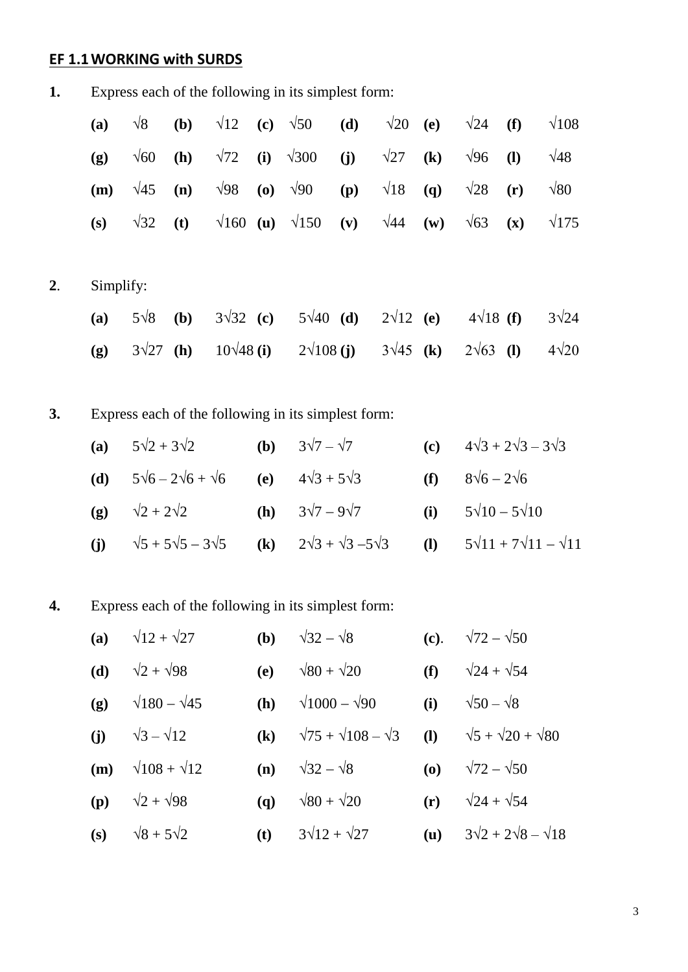# **EF 1.1WORKING with SURDS**

| 1. |                                                     |  |  |  |  |
|----|-----------------------------------------------------|--|--|--|--|
|    | Express each of the following in its simplest form: |  |  |  |  |

|    | (a)       | $\sqrt{8}$            | (b)                                    | $\sqrt{12}$ (c) $\sqrt{50}$   |                                          |                                                     | (d) | $\sqrt{20}$      | (e)                        | $\sqrt{24}$               | (f)                                 | $\sqrt{108}$ |
|----|-----------|-----------------------|----------------------------------------|-------------------------------|------------------------------------------|-----------------------------------------------------|-----|------------------|----------------------------|---------------------------|-------------------------------------|--------------|
|    | (g)       | $\sqrt{60}$           | (h)                                    | $\sqrt{72}$                   | (i)                                      | $\sqrt{300}$                                        | (j) | $\sqrt{27}$      | $\left( \mathbf{k}\right)$ | $\sqrt{96}$               | $\mathbf{I}$                        | $\sqrt{48}$  |
|    | (m)       | $\sqrt{45}$           | (n)                                    | $\sqrt{98}$                   | $\boldsymbol{\left( \mathbf{0}\right) }$ | $\sqrt{90}$                                         | (p) | $\sqrt{18}$      | (q)                        | $\sqrt{28}$               | (r)                                 | $\sqrt{80}$  |
|    | (s)       | $\sqrt{32}$           | (t)                                    | $\sqrt{160}$ (u) $\sqrt{150}$ |                                          |                                                     | (v) | $\sqrt{44}$      | (w)                        | $\sqrt{63}$               | $(\mathbf{x})$                      | $\sqrt{175}$ |
|    |           |                       |                                        |                               |                                          |                                                     |     |                  |                            |                           |                                     |              |
| 2. | Simplify: |                       |                                        |                               |                                          |                                                     |     |                  |                            |                           |                                     |              |
|    | (a)       | $5\sqrt{8}$           | (b)                                    | $3\sqrt{32}$ (c)              |                                          | $5\sqrt{40}$ (d)                                    |     | $2\sqrt{12}$ (e) |                            | $4\sqrt{18}$ (f)          |                                     | $3\sqrt{24}$ |
|    | (g)       | $3\sqrt{27}$          | (h)                                    | $10\sqrt{48}$ (i)             |                                          | $2\sqrt{108}$ (j)                                   |     | $3\sqrt{45}$ (k) |                            | $2\sqrt{63}$ (1)          |                                     | $4\sqrt{20}$ |
|    |           |                       |                                        |                               |                                          |                                                     |     |                  |                            |                           |                                     |              |
| 3. |           |                       |                                        |                               |                                          | Express each of the following in its simplest form: |     |                  |                            |                           |                                     |              |
|    | (a)       | $5\sqrt{2}+3\sqrt{2}$ |                                        |                               | (b)                                      | $3\sqrt{7} - \sqrt{7}$                              |     |                  | (c)                        |                           | $4\sqrt{3} + 2\sqrt{3} - 3\sqrt{3}$ |              |
|    | (d)       |                       | $5\sqrt{6}$ – $2\sqrt{6}$ + $\sqrt{6}$ |                               | (e)                                      | $4\sqrt{3} + 5\sqrt{3}$                             |     |                  | (f)                        | $8\sqrt{6}$ – $2\sqrt{6}$ |                                     |              |

**(g)**  $\sqrt{2} + 2\sqrt{2}$  **(h)**  $3\sqrt{7} - 9\sqrt{7}$  **(i)**  $5\sqrt{10} - 5\sqrt{10}$ (j)  $\sqrt{5} + 5\sqrt{5} - 3\sqrt{5}$  (k)  $2\sqrt{3} + \sqrt{3} - 5\sqrt{3}$  (l)  $5\sqrt{11} + 7\sqrt{11} - \sqrt{11}$ 

## **4.** Express each of the following in its simplest form:

|     | (a) $\sqrt{12} + \sqrt{27}$           |              | ( <b>b</b> ) $\sqrt{32} - \sqrt{8}$                                            |     | (c). $\sqrt{72} - \sqrt{50}$            |
|-----|---------------------------------------|--------------|--------------------------------------------------------------------------------|-----|-----------------------------------------|
| (d) | $\sqrt{2} + \sqrt{98}$                | (e)          | $\sqrt{80} + \sqrt{20}$                                                        | (f) | $\sqrt{24} + \sqrt{54}$                 |
|     | (g) $\sqrt{180} - \sqrt{45}$          |              | ( <b>h</b> ) $\sqrt{1000} - \sqrt{90}$                                         |     | (i) $\sqrt{50} - \sqrt{8}$              |
|     | (i) $\sqrt{3} - \sqrt{12}$            |              | (k) $\sqrt{75} + \sqrt{108} - \sqrt{3}$ (l) $\sqrt{5} + \sqrt{20} + \sqrt{80}$ |     |                                         |
|     | ( <b>m</b> ) $\sqrt{108} + \sqrt{12}$ |              | (n) $\sqrt{32} - \sqrt{8}$                                                     |     | ( <b>o</b> ) $\sqrt{72} - \sqrt{50}$    |
|     | ( <b>p</b> ) $\sqrt{2} + \sqrt{98}$   | $\mathbf{q}$ | $\sqrt{80} + \sqrt{20}$                                                        |     | (r) $\sqrt{24} + \sqrt{54}$             |
|     | (s) $\sqrt{8} + 5\sqrt{2}$            |              | ( <b>t</b> ) $3\sqrt{12} + \sqrt{27}$                                          |     | (u) $3\sqrt{2} + 2\sqrt{8} - \sqrt{18}$ |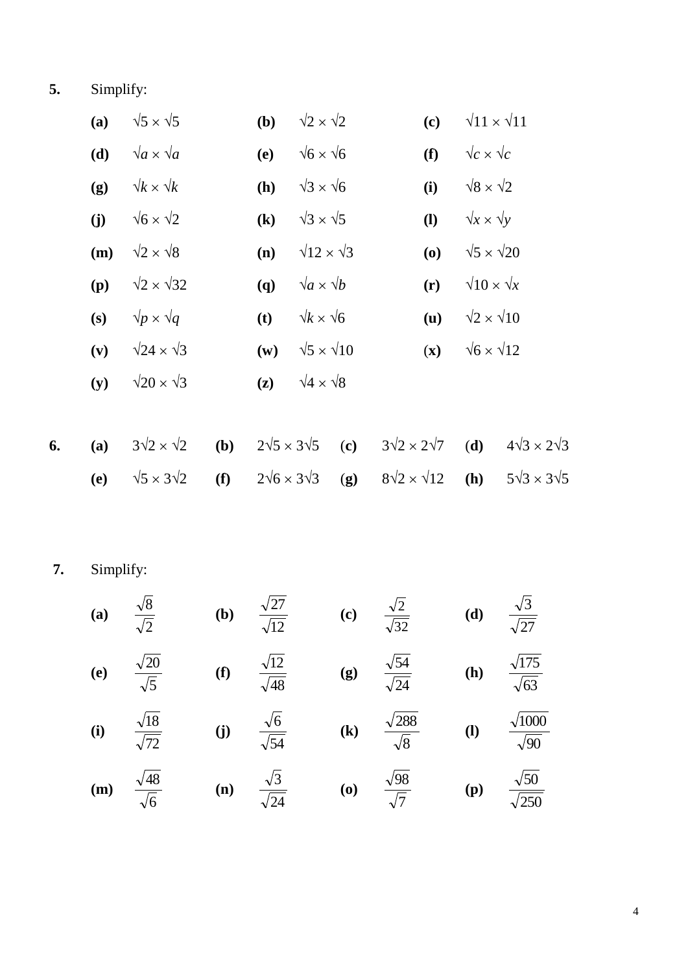**5.** Simplify:

|    | (a) | $\sqrt{5} \times \sqrt{5}$  |     | (b)                          | $\sqrt{2} \times \sqrt{2}$  |     | (c)                                      | $\sqrt{11} \times \sqrt{11}$ |                              |
|----|-----|-----------------------------|-----|------------------------------|-----------------------------|-----|------------------------------------------|------------------------------|------------------------------|
|    | (d) | $\sqrt{a} \times \sqrt{a}$  |     | (e)                          | $\sqrt{6} \times \sqrt{6}$  |     | (f)                                      | $\sqrt{c} \times \sqrt{c}$   |                              |
|    | (g) | $\sqrt{k} \times \sqrt{k}$  |     | (h)                          | $\sqrt{3} \times \sqrt{6}$  |     | (i)                                      | $\sqrt{8} \times \sqrt{2}$   |                              |
|    | (j) | $\sqrt{6} \times \sqrt{2}$  |     | $\left( \mathbf{k}\right)$   | $\sqrt{3} \times \sqrt{5}$  |     | $\mathbf{I}$                             | $\sqrt{x} \times \sqrt{y}$   |                              |
|    | (m) | $\sqrt{2} \times \sqrt{8}$  |     | (n)                          | $\sqrt{12} \times \sqrt{3}$ |     | $\boldsymbol{\left( \mathbf{0} \right)}$ | $\sqrt{5} \times \sqrt{20}$  |                              |
|    | (p) | $\sqrt{2} \times \sqrt{32}$ |     | (q)                          | $\sqrt{a} \times \sqrt{b}$  |     | (r)                                      | $\sqrt{10} \times \sqrt{x}$  |                              |
|    | (s) | $\sqrt{p} \times \sqrt{q}$  |     | (t)                          | $\sqrt{k} \times \sqrt{6}$  |     | (u)                                      | $\sqrt{2} \times \sqrt{10}$  |                              |
|    | (v) | $\sqrt{24} \times \sqrt{3}$ |     | $(\mathbf{w})$               | $\sqrt{5} \times \sqrt{10}$ |     | $(\mathbf{x})$                           | $\sqrt{6} \times \sqrt{12}$  |                              |
|    | (y) | $\sqrt{20} \times \sqrt{3}$ |     | (z)                          | $\sqrt{4} \times \sqrt{8}$  |     |                                          |                              |                              |
|    |     |                             |     |                              |                             |     |                                          |                              |                              |
| 6. | (a) | $3\sqrt{2} \times \sqrt{2}$ | (b) | $2\sqrt{5} \times 3\sqrt{5}$ |                             | (c) | $3\sqrt{2} \times 2\sqrt{7}$             | (d)                          | $4\sqrt{3} \times 2\sqrt{3}$ |

**(e)**  $\sqrt{5} \times 3\sqrt{2}$  **(f)**  $2\sqrt{6} \times 3\sqrt{3}$  **(g)**  $8\sqrt{2} \times \sqrt{12}$  **(h)**  $5\sqrt{3} \times 3\sqrt{5}$ 

**7.** Simplify:

(a) 
$$
\frac{\sqrt{8}}{\sqrt{2}}
$$
 (b)  $\frac{\sqrt{27}}{\sqrt{12}}$  (c)  $\frac{\sqrt{2}}{\sqrt{32}}$  (d)  $\frac{\sqrt{3}}{\sqrt{27}}$   
\n(e)  $\frac{\sqrt{20}}{\sqrt{5}}$  (f)  $\frac{\sqrt{12}}{\sqrt{48}}$  (g)  $\frac{\sqrt{54}}{\sqrt{24}}$  (h)  $\frac{\sqrt{175}}{\sqrt{63}}$   
\n(i)  $\frac{\sqrt{18}}{\sqrt{72}}$  (j)  $\frac{\sqrt{6}}{\sqrt{54}}$  (k)  $\frac{\sqrt{288}}{\sqrt{8}}$  (l)  $\frac{\sqrt{1000}}{\sqrt{90}}$   
\n(m)  $\frac{\sqrt{48}}{\sqrt{6}}$  (n)  $\frac{\sqrt{3}}{\sqrt{24}}$  (o)  $\frac{\sqrt{98}}{\sqrt{7}}$  (p)  $\frac{\sqrt{50}}{\sqrt{250}}$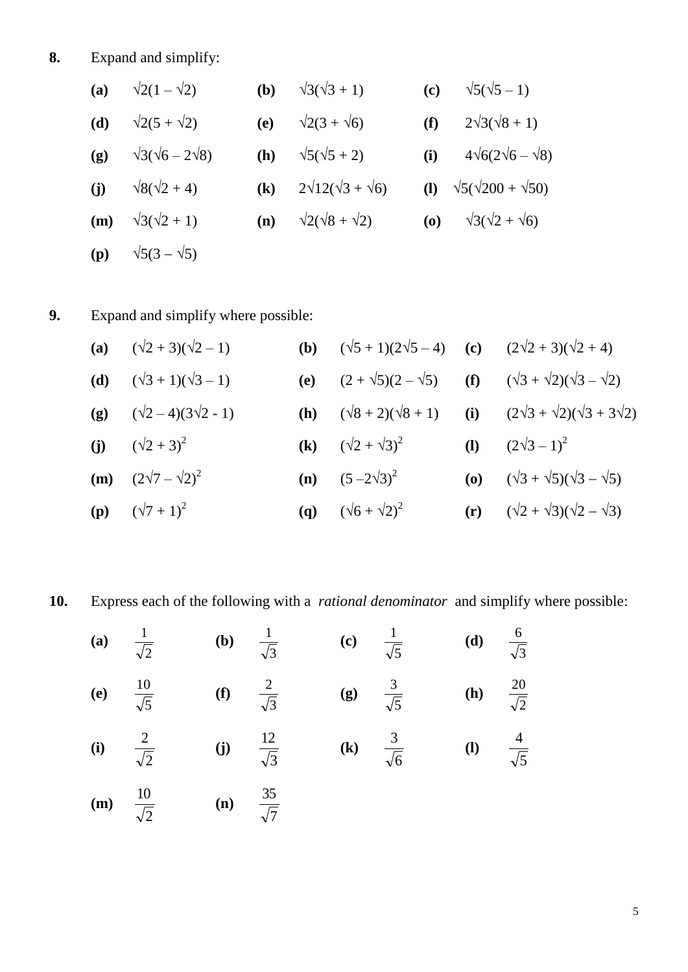**8.** Expand and simplify:

| (a) | $\sqrt{2}(1-\sqrt{2})$         | ( <b>b</b> )               | $\sqrt{3}(\sqrt{3}+1)$          | (c)        | $\sqrt{5}(\sqrt{5}-1)$                 |
|-----|--------------------------------|----------------------------|---------------------------------|------------|----------------------------------------|
| (d) | $\sqrt{2(5 + \sqrt{2})}$       | (e)                        | $\sqrt{2(3 + \sqrt{6})}$        | (f)        | $2\sqrt{3}(\sqrt{8}+1)$                |
| (g) | $\sqrt{3}(\sqrt{6}-2\sqrt{8})$ | (h)                        | $\sqrt{5}(\sqrt{5}+2)$          | (i)        | $4\sqrt{6}(2\sqrt{6}-\sqrt{8})$        |
| (i) | $\sqrt{8}(\sqrt{2}+4)$         | $\left( \mathbf{k}\right)$ | $2\sqrt{12}(\sqrt{3}+\sqrt{6})$ |            | (1) $\sqrt{5}(\sqrt{200} + \sqrt{50})$ |
| (m) | $\sqrt{3}(\sqrt{2}+1)$         | (n)                        | $\sqrt{2}(\sqrt{8}+\sqrt{2})$   | <b>(0)</b> | $\sqrt{3}(\sqrt{2}+\sqrt{6})$          |
| (p) | $\sqrt{5(3-\sqrt{5})}$         |                            |                                 |            |                                        |

**9.** Expand and simplify where possible:

| (a) $(\sqrt{2}+3)(\sqrt{2}-1)$              | <b>(b)</b> $(\sqrt{5} + 1)(2\sqrt{5} - 4)$ <b>(c)</b> $(2\sqrt{2} + 3)(\sqrt{2} + 4)$ |                                                                                                     |
|---------------------------------------------|---------------------------------------------------------------------------------------|-----------------------------------------------------------------------------------------------------|
| ( <b>d</b> ) $(\sqrt{3} + 1)(\sqrt{3} - 1)$ |                                                                                       | (e) $(2 + \sqrt{5})(2 - \sqrt{5})$ (f) $(\sqrt{3} + \sqrt{2})(\sqrt{3} - \sqrt{2})$                 |
| (g) $(\sqrt{2}-4)(3\sqrt{2}-1)$             |                                                                                       | <b>(h)</b> $(\sqrt{8} + 2)(\sqrt{8} + 1)$ <b>(i)</b> $(2\sqrt{3} + \sqrt{2})(\sqrt{3} + 3\sqrt{2})$ |
| (j) $(\sqrt{2}+3)^2$                        | (k) $(\sqrt{2} + \sqrt{3})^2$ (l) $(2\sqrt{3} - 1)^2$                                 |                                                                                                     |
| ( <b>m</b> ) $(2\sqrt{7} - \sqrt{2})^2$     | ( <b>n</b> ) $(5-2\sqrt{3})^2$                                                        | (o) $(\sqrt{3} + \sqrt{5})(\sqrt{3} - \sqrt{5})$                                                    |
| ( <b>p</b> ) $(\sqrt{7} + 1)^2$             | ( <b>q</b> ) $(\sqrt{6} + \sqrt{2})^2$                                                | (r) $(\sqrt{2} + \sqrt{3})(\sqrt{2} - \sqrt{3})$                                                    |

**10.** Express each of the following with a *rational denominator* and simplify where possible:

| (a) $\frac{1}{\sqrt{2}}$ |                       | <b>(b)</b> $\frac{1}{\sqrt{3}}$    | (c) $\frac{1}{\sqrt{5}}$ | ( <b>d</b> ) $\frac{6}{\sqrt{3}}$ |  |
|--------------------------|-----------------------|------------------------------------|--------------------------|-----------------------------------|--|
| (e)                      | $rac{10}{\sqrt{5}}$   | (f) $\frac{2}{\sqrt{3}}$           | (g) $\frac{3}{\sqrt{5}}$ | <b>(h)</b> $\frac{20}{\sqrt{2}}$  |  |
| (i) $\frac{2}{\sqrt{2}}$ |                       | (j) $\frac{12}{\sqrt{3}}$          | (k) $\frac{3}{\sqrt{6}}$ | (1) $\frac{4}{\sqrt{5}}$          |  |
| (m)                      | $\frac{10}{\sqrt{2}}$ | ( <b>n</b> ) $\frac{35}{\sqrt{7}}$ |                          |                                   |  |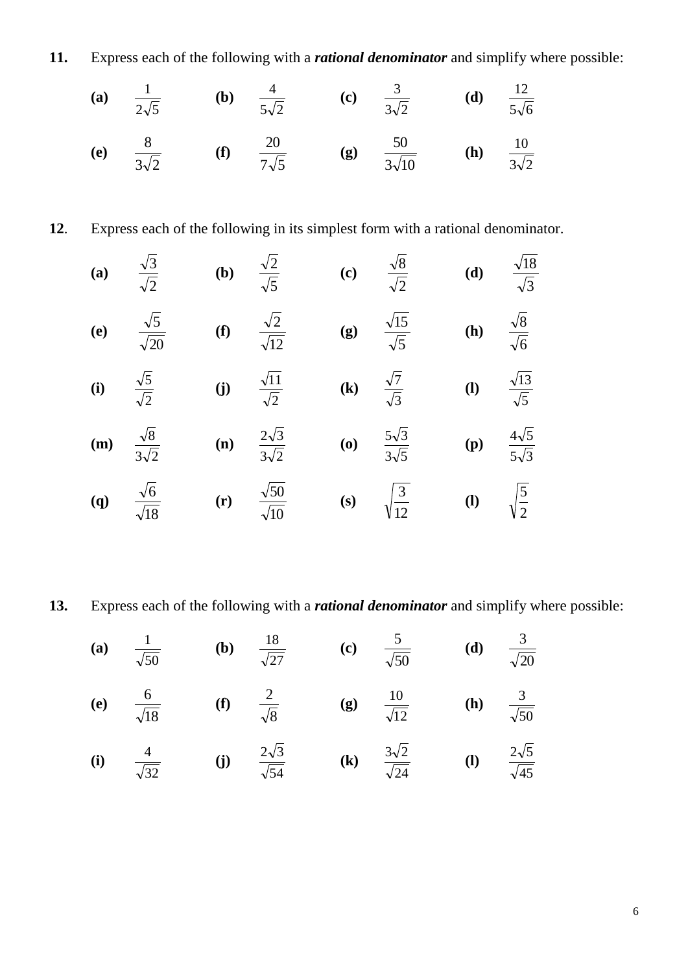**11.** Express each of the following with a *rational denominator* and simplify where possible:

(a) 
$$
\frac{1}{2\sqrt{5}}
$$
 (b)  $\frac{4}{5\sqrt{2}}$  (c)  $\frac{3}{3\sqrt{2}}$  (d)  $\frac{12}{5\sqrt{6}}$ 

(e) 
$$
\frac{8}{3\sqrt{2}}
$$
 (f)  $\frac{20}{7\sqrt{5}}$  (g)  $\frac{50}{3\sqrt{10}}$  (h)  $\frac{10}{3\sqrt{2}}$ 

. Express each of the following in its simplest form with a rational denominator.

(a) 
$$
\frac{\sqrt{3}}{\sqrt{2}}
$$
 (b)  $\frac{\sqrt{2}}{\sqrt{5}}$  (c)  $\frac{\sqrt{8}}{\sqrt{2}}$  (d)  $\frac{\sqrt{18}}{\sqrt{3}}$   
\n(e)  $\frac{\sqrt{5}}{\sqrt{20}}$  (f)  $\frac{\sqrt{2}}{\sqrt{12}}$  (g)  $\frac{\sqrt{15}}{\sqrt{5}}$  (h)  $\frac{\sqrt{8}}{\sqrt{6}}$   
\n(i)  $\frac{\sqrt{5}}{\sqrt{2}}$  (j)  $\frac{\sqrt{11}}{\sqrt{2}}$  (k)  $\frac{\sqrt{7}}{\sqrt{3}}$  (l)  $\frac{\sqrt{13}}{\sqrt{5}}$   
\n(m)  $\frac{\sqrt{8}}{3\sqrt{2}}$  (n)  $\frac{2\sqrt{3}}{3\sqrt{2}}$  (o)  $\frac{5\sqrt{3}}{3\sqrt{5}}$  (p)  $\frac{4\sqrt{5}}{5\sqrt{3}}$ 

(q) 
$$
\frac{\sqrt{6}}{\sqrt{18}}
$$
 (r)  $\frac{\sqrt{50}}{\sqrt{10}}$  (s)  $\sqrt{\frac{3}{12}}$  (l)  $\sqrt{\frac{5}{2}}$ 

**13.** Express each of the following with a *rational denominator* and simplify where possible:

 $\overline{\sqrt{45}}$ 

(a) 
$$
\frac{1}{\sqrt{50}}
$$
 (b)  $\frac{18}{\sqrt{27}}$  (c)  $\frac{5}{\sqrt{50}}$  (d)  $\frac{3}{\sqrt{20}}$   
\n(e)  $\frac{6}{\sqrt{18}}$  (f)  $\frac{2}{\sqrt{8}}$  (g)  $\frac{10}{\sqrt{12}}$  (h)  $\frac{3}{\sqrt{50}}$   
\n(i)  $\frac{4}{\sqrt{32}}$  (j)  $\frac{2\sqrt{3}}{\sqrt{54}}$  (k)  $\frac{3\sqrt{2}}{\sqrt{24}}$  (l)  $\frac{2\sqrt{5}}{\sqrt{45}}$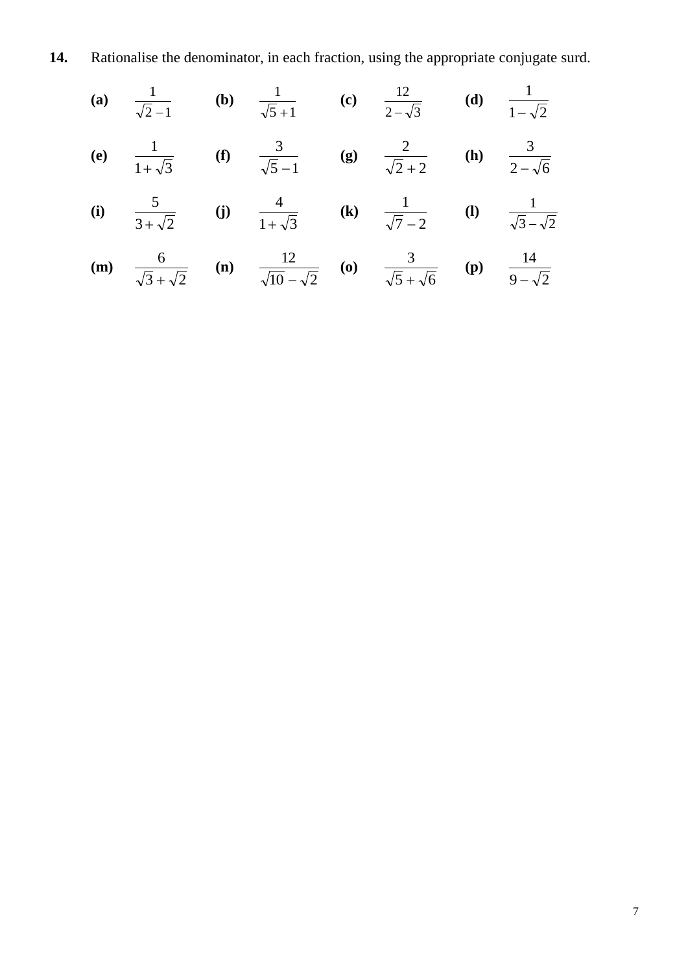**14.** Rationalise the denominator, in each fraction, using the appropriate conjugate surd.

(a) 
$$
\frac{1}{\sqrt{2}-1}
$$
 (b)  $\frac{1}{\sqrt{5}+1}$  (c)  $\frac{12}{2-\sqrt{3}}$  (d)  $\frac{1}{1-\sqrt{2}}$   
\n(e)  $\frac{1}{1+\sqrt{3}}$  (f)  $\frac{3}{\sqrt{5}-1}$  (g)  $\frac{2}{\sqrt{2}+2}$  (h)  $\frac{3}{2-\sqrt{6}}$   
\n(i)  $\frac{5}{3+\sqrt{2}}$  (j)  $\frac{4}{1+\sqrt{3}}$  (k)  $\frac{1}{\sqrt{7}-2}$  (l)  $\frac{1}{\sqrt{3}-\sqrt{2}}$   
\n(m)  $\frac{6}{\sqrt{5}-\sqrt{5}}$  (n)  $\frac{12}{\sqrt{5}-\sqrt{5}}$  (o)  $\frac{3}{\sqrt{5}-\sqrt{5}}$  (p)  $\frac{14}{\sqrt{5}-\sqrt{5}}$ 

 $5 + \sqrt{6}$ 

 $9 - \sqrt{2}$ 

 $\overline{a}$ 

 $\overline{+}$ 

 $10 - \sqrt{2}$ 

-

 $3 + \sqrt{2}$ 

 $\ddot{}$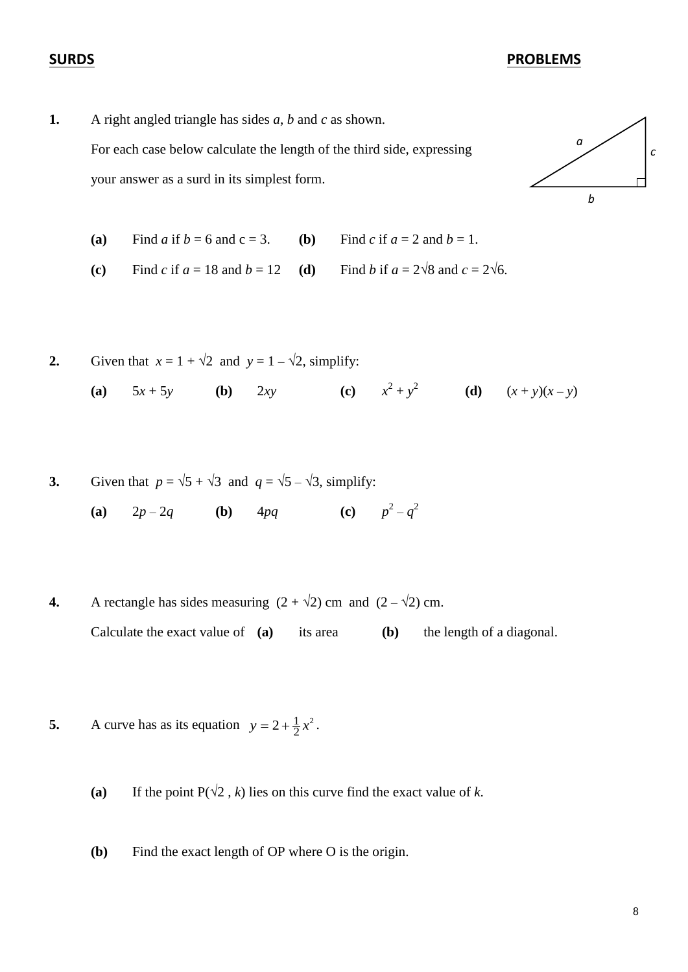#### **SURDS PROBLEMS**

**1.** A right angled triangle has sides *a*, *b* and *c* as shown. For each case below calculate the length of the third side, expressing your answer as a surd in its simplest form.



(a) Find *a* if  $b = 6$  and  $c = 3$ . (b) Find *c* if  $a = 2$  and  $b = 1$ .

(c) Find *c* if  $a = 18$  and  $b = 12$  (d) Find *b* if  $a = 2\sqrt{8}$  and  $c = 2\sqrt{6}$ .

2. Given that 
$$
x = 1 + \sqrt{2}
$$
 and  $y = 1 - \sqrt{2}$ , simplify:  
\n(a)  $5x + 5y$  (b)  $2xy$  (c)  $x^2 + y^2$  (d)  $(x + y)(x - y)$ 

3. Given that 
$$
p = \sqrt{5} + \sqrt{3}
$$
 and  $q = \sqrt{5} - \sqrt{3}$ , simplify:

**(a)**  $2p - 2q$  **(b)**  $4pq$  $2 - q^2$ 

- **4.** A rectangle has sides measuring  $(2 + \sqrt{2})$  cm and  $(2 \sqrt{2})$  cm. Calculate the exact value of **(a)** its area **(b)** the length of a diagonal.
- **5.** A curve has as its equation  $y = 2 + \frac{1}{2}x^2$ 2  $y = 2 + \frac{1}{2}x^2$ .
	- (a) If the point  $P(\sqrt{2}, k)$  lies on this curve find the exact value of *k*.
	- **(b)** Find the exact length of OP where O is the origin.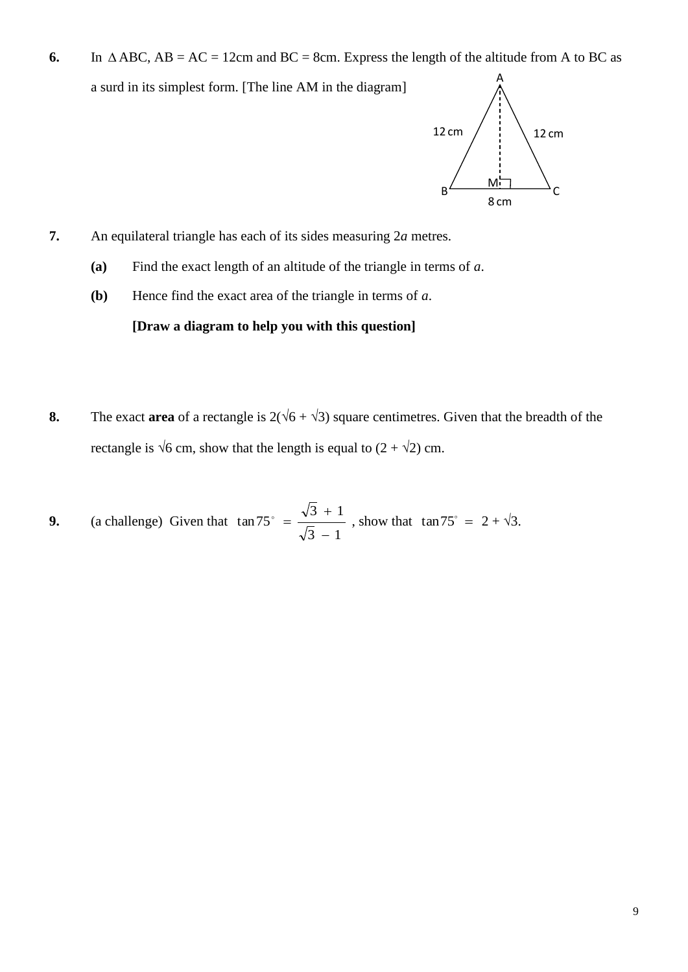6. In  $\triangle ABC$ ,  $AB = AC = 12$ cm and  $BC = 8$ cm. Express the length of the altitude from A to BC as a surd in its simplest form. [The line AM in the diagram] A



- **7.** An equilateral triangle has each of its sides measuring 2*a* metres.
	- **(a)** Find the exact length of an altitude of the triangle in terms of *a*.
	- **(b)** Hence find the exact area of the triangle in terms of *a*.

#### **[Draw a diagram to help you with this question]**

- **8.** The exact **area** of a rectangle is  $2(\sqrt{6} + \sqrt{3})$  square centimetres. Given that the breadth of the rectangle is  $\sqrt{6}$  cm, show that the length is equal to  $(2 + \sqrt{2})$  cm.
- **9.** (a challenge) Given that  $3 - 1$  $3 + 1$ tan75  $\overline{a}$  $^{+}$  $\frac{\sqrt{3}+1}{\sqrt{2}}$ , show that  $\tan 75^\circ = 2 + \sqrt{3}$ .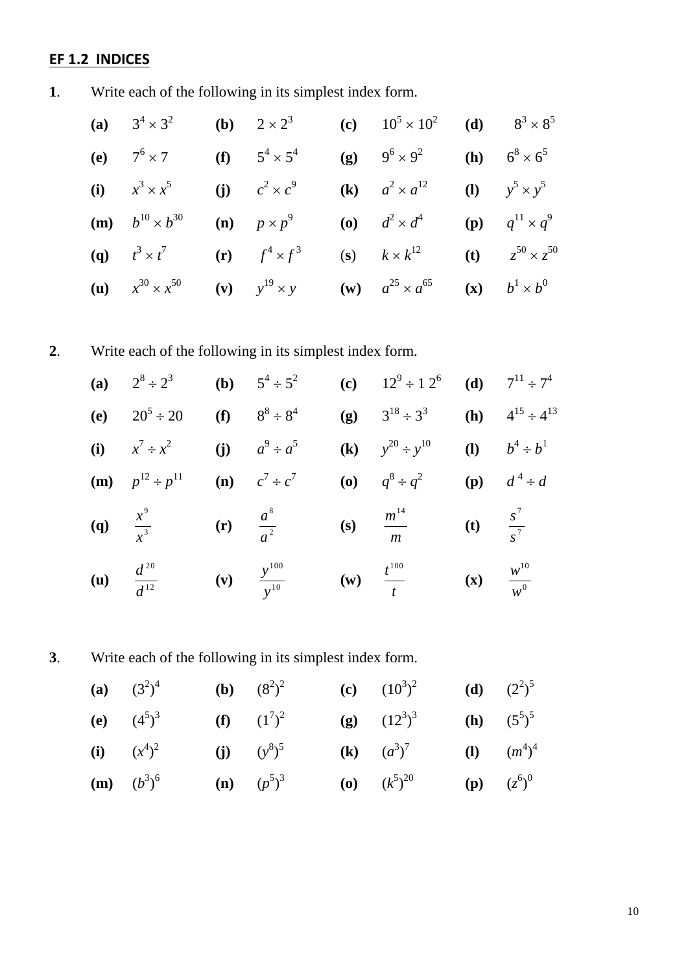# **EF 1.2 INDICES**

**1**. Write each of the following in its simplest index form.

| (a) $3^4 \times 3^2$                | ( <b>b</b> ) $2 \times 2^3$ | (c) $10^5 \times 10^2$ (d) $8^3 \times 8^5$                           |                                     |
|-------------------------------------|-----------------------------|-----------------------------------------------------------------------|-------------------------------------|
| (e) $7^6 \times 7$                  | (f) $5^4 \times 5^4$        | (g) $9^6 \times 9^2$ (h) $6^8 \times 6^5$                             |                                     |
| (i) $x^3 \times x^5$                | (j) $c^2 \times c^9$        | (k) $a^2 \times a^{12}$ (l) $y^5 \times y^5$                          |                                     |
| ( <b>m</b> ) $b^{10} \times b^{30}$ | (n) $p \times p^9$          | ( <b>o</b> ) $d^2 \times d^4$                                         | <b>(p)</b> $q^{11} \times q^9$      |
| ( <b>q</b> ) $t^3 \times t^7$       | (r) $f^4 \times f^3$        | (s) $k \times k^{12}$                                                 | ( <b>t</b> ) $z^{50} \times z^{50}$ |
| ( <b>u</b> ) $x^{30} \times x^{50}$ |                             | (v) $y^{19} \times y$ (w) $a^{25} \times a^{65}$ (x) $b^1 \times b^0$ |                                     |

**2**. Write each of the following in its simplest index form.

(a) 
$$
2^8 \div 2^3
$$
 (b)  $5^4 \div 5^2$  (c)  $12^9 \div 12^6$  (d)  $7^{11} \div 7^4$   
\n(e)  $20^5 \div 20$  (f)  $8^8 \div 8^4$  (g)  $3^{18} \div 3^3$  (h)  $4^{15} \div 4^{13}$   
\n(i)  $x^7 \div x^2$  (j)  $a^9 \div a^5$  (k)  $y^{20} \div y^{10}$  (l)  $b^4 \div b^1$   
\n(m)  $p^{12} \div p^{11}$  (n)  $c^7 \div c^7$  (o)  $q^8 \div q^2$  (p)  $d^4 \div d$   
\n(q)  $\frac{x^9}{x^3}$  (r)  $\frac{a^8}{a^2}$  (s)  $\frac{m^{14}}{m}$  (t)  $\frac{s^7}{s^7}$ 

- **(u)** 12 *d* **(v)**  $\frac{y}{10}$ *y* **(w)** *t* **(x)**  $w^0$
- **3**. Write each of the following in its simplest index form.

(a) 
$$
(3^2)^4
$$
 (b)  $(8^2)^2$  (c)  $(10^3)^2$  (d)  $(2^2)^5$   
\n(e)  $(4^5)^3$  (f)  $(1^7)^2$  (g)  $(12^3)^3$  (h)  $(5^5)^5$   
\n(i)  $(x^4)^2$  (j)  $(y^8)^5$  (k)  $(a^3)^7$  (l)  $(m^4)^4$ 

**(m)** 
$$
(b^3)^6
$$
 **(n)**  $(p^5)^3$  **(o)**  $(k^5)^{20}$  **(p)**  $(z^6)^6$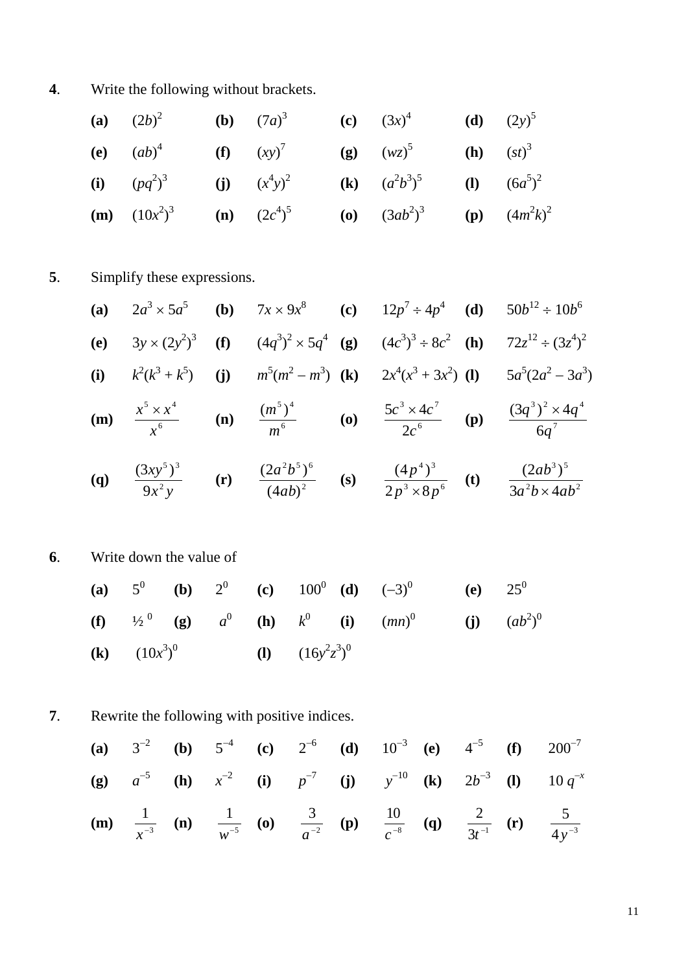**4**. Write the following without brackets.

| (a) $(2b)^2$    | (b) $(7a)^3$   | (c) $(3x)^4$     | (d) $(2y)^5$    |
|-----------------|----------------|------------------|-----------------|
| (e) $(ab)^4$    | (f) $(xy)^7$   | (g) $(wz)^5$     | (h) $(st)^3$    |
| (i) $(pq^2)^3$  | (j) $(x^4y)^2$ | (k) $(a^2b^3)^5$ | (l) $(6a^5)^2$  |
| (m) $(10x^2)^3$ | (n) $(2c^4)^5$ | (o) $(3ab^2)^3$  | (p) $(4m^2k)^2$ |

# **5**. Simplify these expressions.

(a) 
$$
2a^3 \times 5a^5
$$
 (b)  $7x \times 9x^8$  (c)  $12p^7 \div 4p^4$  (d)  $50b^{12} \div 10b^6$   
\n(e)  $3y \times (2y^2)^3$  (f)  $(4q^3)^2 \times 5q^4$  (g)  $(4c^3)^3 \div 8c^2$  (h)  $72z^{12} \div (3z^4)^2$   
\n(i)  $k^2(k^3 + k^5)$  (j)  $m^5(m^2 - m^3)$  (k)  $2x^4(x^3 + 3x^2)$  (l)  $5a^5(2a^2 - 3a^3)$   
\n(m)  $\frac{x^5 \times x^4}{x^6}$  (n)  $\frac{(m^5)^4}{m^6}$  (o)  $\frac{5c^3 \times 4c^7}{2c^6}$  (p)  $\frac{(3q^3)^2 \times 4q^4}{6q^7}$ 

(q) 
$$
\frac{(3xy^5)^3}{9x^2y}
$$
 (r)  $\frac{(2a^2b^5)^6}{(4ab)^2}$  (s)  $\frac{(4p^4)^3}{2p^3 \times 8p^6}$  (t)  $\frac{(2ab^3)^5}{3a^2b \times 4ab^2}$ 

# **6**. Write down the value of

(a) 5<sup>0</sup> (b) 2<sup>0</sup> (c) 100<sup>0</sup> (d) 
$$
(-3)^0
$$
 (e) 25<sup>0</sup>  
\n(f) 1/2<sup>0</sup> (g) a<sup>0</sup> (h) k<sup>0</sup> (i)  $(mn)^0$  (j)  $(ab^2)^0$   
\n(k)  $(10x^3)^0$  (l)  $(16y^2z^3)^0$ 

**7**. Rewrite the following with positive indices.

(a) 
$$
3^{-2}
$$
 (b)  $5^{-4}$  (c)  $2^{-6}$  (d)  $10^{-3}$  (e)  $4^{-5}$  (f)  $200^{-7}$   
\n(g)  $a^{-5}$  (h)  $x^{-2}$  (i)  $p^{-7}$  (j)  $y^{-10}$  (k)  $2b^{-3}$  (l)  $10 q^{-x}$   
\n(m)  $\frac{1}{x^{-3}}$  (n)  $\frac{1}{w^{-5}}$  (o)  $\frac{3}{a^{-2}}$  (p)  $\frac{10}{c^{-8}}$  (q)  $\frac{2}{3t^{-1}}$  (r)  $\frac{5}{4y^{-3}}$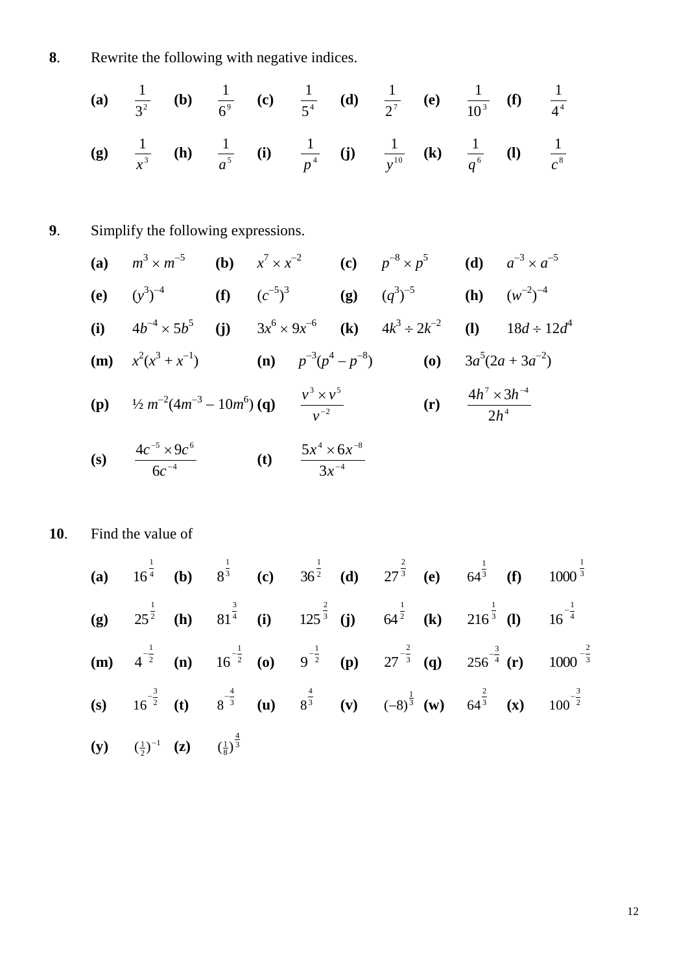**8**. Rewrite the following with negative indices.

*a*

(a) 
$$
\frac{1}{3^2}
$$
 (b)  $\frac{1}{6^9}$  (c)  $\frac{1}{5^4}$  (d)  $\frac{1}{2^7}$  (e)  $\frac{1}{10^3}$  (f)  $\frac{1}{4^4}$   
(g)  $\frac{1}{3^3}$  (h)  $\frac{1}{4^5}$  (i)  $\frac{1}{3^4}$  (j)  $\frac{1}{3^{10}}$  (k)  $\frac{1}{4^6}$  (l)  $\frac{1}{4^8}$ 

*y*

*q*

*c*

*p*

**9**. Simplify the following expressions.

3

*x*

(a) 
$$
m^3 \times m^{-5}
$$
 (b)  $x^7 \times x^{-2}$  (c)  $p^{-8} \times p^5$  (d)  $a^{-3} \times a^{-5}$   
\n(e)  $(y^3)^{-4}$  (f)  $(c^{-5})^3$  (g)  $(q^3)^{-5}$  (h)  $(w^{-2})^{-4}$   
\n(i)  $4b^{-4} \times 5b^5$  (j)  $3x^6 \times 9x^{-6}$  (k)  $4k^3 \div 2k^{-2}$  (l)  $18d \div 12d^4$   
\n(m)  $x^2(x^3 + x^{-1})$  (n)  $p^{-3}(p^4 - p^{-8})$  (o)  $3a^5(2a + 3a^{-2})$   
\n(p)  $\frac{1}{2}m^{-2}(4m^{-3} - 10m^6)$  (q)  $\frac{v^3 \times v^5}{v^{-2}}$  (r)  $\frac{4h^7 \times 3h^{-4}}{2h^4}$   
\n(s)  $\frac{4c^{-5} \times 9c^6}{6c^{-4}}$  (t)  $\frac{5x^4 \times 6x^{-8}}{3x^{-4}}$ 

**10**. Find the value of

(a) 
$$
16^{\frac{1}{4}}
$$
 (b)  $8^{\frac{1}{3}}$  (c)  $36^{\frac{1}{2}}$  (d)  $27^{\frac{2}{3}}$  (e)  $64^{\frac{1}{3}}$  (f)  $1000^{\frac{1}{3}}$   
\n(g)  $25^{\frac{1}{2}}$  (h)  $81^{\frac{3}{4}}$  (i)  $125^{\frac{2}{3}}$  (j)  $64^{\frac{1}{2}}$  (k)  $216^{\frac{1}{3}}$  (l)  $16^{-\frac{1}{4}}$   
\n(m)  $4^{-\frac{1}{2}}$  (n)  $16^{-\frac{1}{2}}$  (o)  $9^{-\frac{1}{2}}$  (p)  $27^{-\frac{2}{3}}$  (q)  $256^{-\frac{3}{4}}$  (r)  $1000^{-\frac{2}{3}}$   
\n(s)  $16^{-\frac{3}{2}}$  (t)  $8^{-\frac{4}{3}}$  (u)  $8^{\frac{4}{3}}$  (v)  $(-8)^{\frac{1}{3}}$  (w)  $64^{\frac{2}{3}}$  (x)  $100^{-\frac{3}{2}}$   
\n(y)  $(\frac{1}{2})^{-1}$  (z)  $(\frac{1}{8})^{\frac{4}{3}}$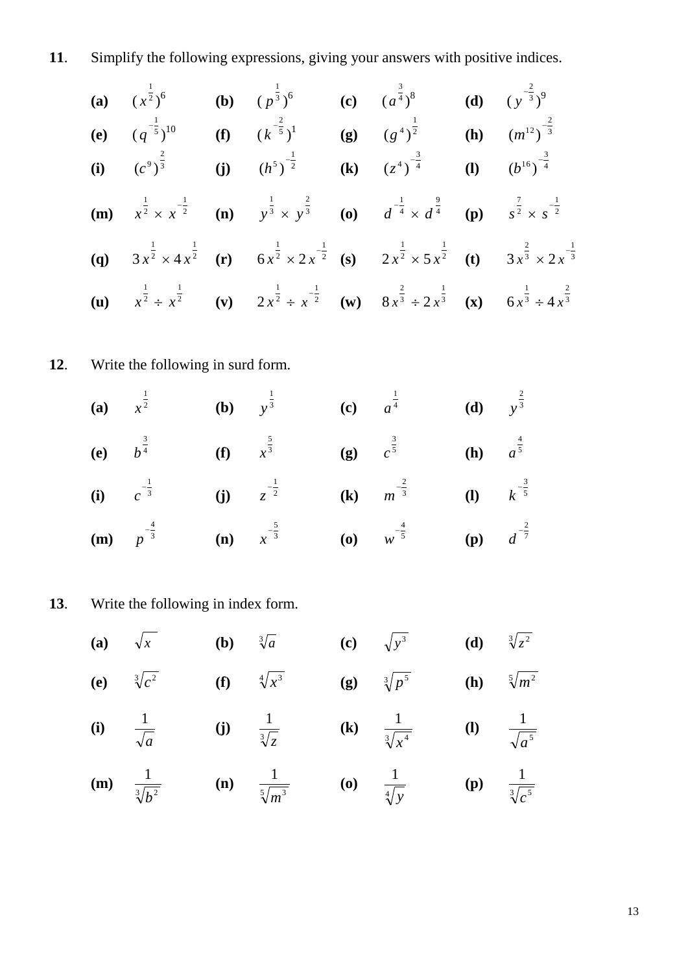**11**. Simplify the following expressions, giving your answers with positive indices.

(a) 
$$
(x^{\frac{1}{2}})^6
$$
 (b)  $(p^{\frac{1}{3}})^6$  (c)  $(a^{\frac{3}{4}})^8$  (d)  $(y^{-\frac{2}{3}})^9$   
\n(e)  $(q^{-\frac{1}{5}})^{10}$  (f)  $(k^{-\frac{2}{5}})^1$  (g)  $(g^{4})^{\frac{1}{2}}$  (h)  $(m^{12})^{-\frac{2}{3}}$   
\n(i)  $(c^9)^{\frac{2}{3}}$  (j)  $(h^5)^{-\frac{1}{2}}$  (k)  $(z^4)^{-\frac{3}{4}}$  (l)  $(b^{16})^{-\frac{3}{4}}$   
\n(m)  $x^{\frac{1}{2}} \times x^{-\frac{1}{2}}$  (n)  $y^{\frac{1}{3}} \times y^{\frac{2}{3}}$  (o)  $d^{-\frac{1}{4}} \times d^{\frac{9}{4}}$  (p)  $s^{\frac{7}{2}} \times s^{-\frac{1}{2}}$   
\n(q)  $3x^{\frac{1}{2}} \times 4x^{\frac{1}{2}}$  (r)  $6x^{\frac{1}{2}} \times 2x^{-\frac{1}{2}}$  (s)  $2x^{\frac{1}{2}} \times 5x^{\frac{1}{2}}$  (t)  $3x^{\frac{2}{3}} \times 2x^{-\frac{1}{3}}$   
\n(u)  $x^{\frac{1}{2}} \div x^{\frac{1}{2}}$  (v)  $2x^{\frac{1}{2}} \div x^{-\frac{1}{2}}$  (w)  $8x^{\frac{2}{3}} \div 2x^{\frac{1}{3}}$  (x)  $6x^{\frac{1}{3}} \div 4x^{\frac{2}{3}}$ 

**12**. Write the following in surd form.

(a) 
$$
x^{\frac{1}{2}}
$$
 (b)  $y^{\frac{1}{3}}$  (c)  $a^{\frac{1}{4}}$  (d)  $y^{\frac{2}{3}}$   
\n(e)  $b^{\frac{3}{4}}$  (f)  $x^{\frac{5}{3}}$  (g)  $c^{\frac{3}{5}}$  (h)  $a^{\frac{4}{5}}$   
\n(i)  $c^{-\frac{1}{3}}$  (j)  $z^{-\frac{1}{2}}$  (k)  $m^{-\frac{2}{3}}$  (l)  $k^{-\frac{3}{5}}$   
\n(m)  $p^{-\frac{4}{3}}$  (n)  $x^{-\frac{5}{3}}$  (o)  $w^{-\frac{4}{5}}$  (p)  $d^{-\frac{2}{7}}$ 

**13**. Write the following in index form.

(a) 
$$
\sqrt{x}
$$
 (b)  $3\sqrt{a}$  (c)  $\sqrt{y^3}$  (d)  $3\sqrt[3]{z^2}$   
\n(e)  $3\sqrt[3]{c^2}$  (f)  $4\sqrt{x^3}$  (g)  $3\sqrt[3]{p^5}$  (h)  $5\sqrt{m^2}$   
\n(i)  $\frac{1}{\sqrt{a}}$  (j)  $\frac{1}{3\sqrt[3]{z}}$  (k)  $\frac{1}{3\sqrt[3]{x^4}}$  (l)  $\frac{1}{\sqrt[3]{a^5}}$   
\n(m)  $\frac{1}{3\sqrt[3]{b^2}}$  (n)  $\frac{1}{5\sqrt{m^3}}$  (o)  $\frac{1}{4\sqrt[3]{y}}$  (p)  $\frac{1}{3\sqrt[3]{c^5}}$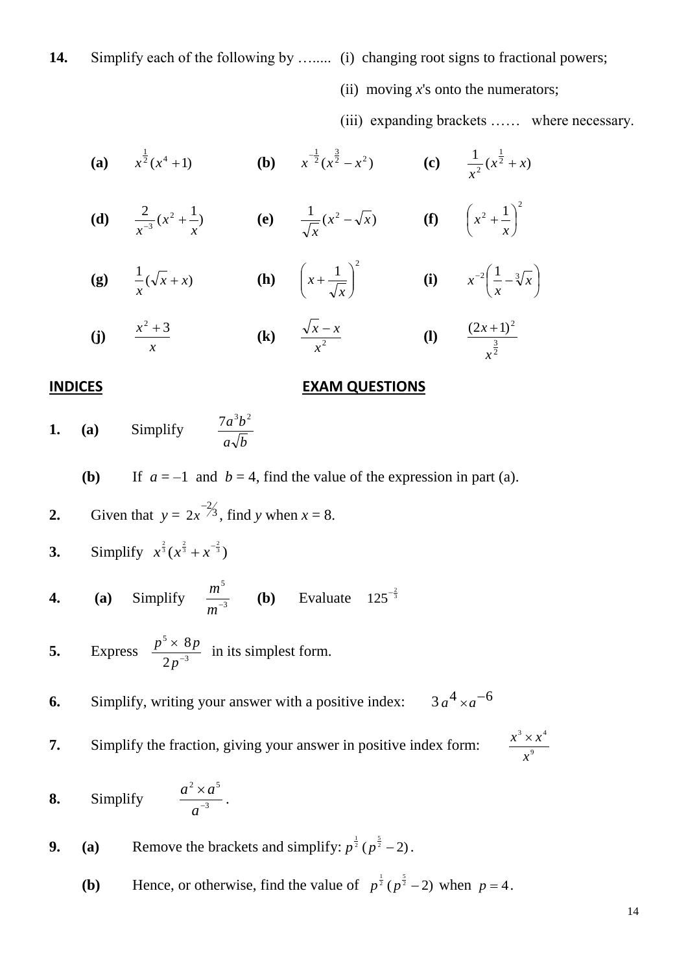### 14. Simplify each of the following by …...... (i) changing root signs to fractional powers;

(ii) moving *x*'s onto the numerators;

(iii) expanding brackets …… where necessary.

**(a)**  $x^{\frac{1}{2}}(x^4+1)$  **(b)**  $x^{\frac{1}{2}}(x^{\frac{3}{2}}-x^2)$  **(c)**  $\frac{1}{2}(x^{\frac{1}{2}}+x)$  $\frac{1}{2}(x^2 + x)$ *x*  $\overline{+}$ 

- **(d)**  $\frac{2}{-3}(x^2 + \frac{1}{-})$  $3^{x}$   $\frac{1}{x}$ *x*  $\frac{2}{x^{-3}}(x^2 + \frac{1}{x})$  **(e)**  $\frac{1}{\sqrt{x}}(x^2 - \sqrt{x})$ *x*  $-\sqrt{x}$  (f)  $2 + 1 \rceil^2$  $\big)$  $\left(x^2+\frac{1}{x}\right)$  $\setminus$  $\int x^2 +$ *x x*
- **(g)**  $\frac{1}{2}(\sqrt{x} + x)$ *x*  $+x)$  (h)  $1)^2$  $\overline{\phantom{a}}$ J  $\setminus$  $\overline{\phantom{a}}$  $\setminus$  $\int x +$ *x*  $x + \frac{1}{\sqrt{2}}$  (i)  $x^{-2} \left| \frac{1}{x} - \sqrt[3]{x} \right|$ J  $\left(\frac{1}{-1-\sqrt[3]{x}}\right)$  $\overline{\mathcal{L}}$  $-2\left( \frac{1}{2} - \sqrt[3]{x} \right)$ *x x*

(j) 
$$
\frac{x^2+3}{x}
$$
 (k)  $\frac{\sqrt{x}-x}{x^2}$  (l)  $\frac{(2x+1)^2}{x^{\frac{3}{2}}}$ 

#### **INDICES EXAM QUESTIONS**

**1. (a)** Simplify  $a \sqrt{b}$  $7a^3b^2$ 

**(b)** If  $a = -1$  and  $b = 4$ , find the value of the expression in part (a).

2. Given that 
$$
y = 2x^{-2/3}
$$
, find y when  $x = 8$ .

3. Simplify 
$$
x^{\frac{2}{3}}(x^{\frac{2}{3}}+x^{-\frac{2}{3}})
$$

**4.** (**a**) Simplify 
$$
\frac{m^5}{m^{-3}}
$$
 (**b**) Evaluate  $125^{-\frac{2}{3}}$ 

**5.** Express  $\frac{p}{2r^{-3}}$ 5 2 8 - $\times$ *p*  $\frac{p^5 \times 8p}{2^3}$  in its simplest form.

**6.** Simplify, writing your answer with a positive index:  $a^4 \times a^{-6}$ 

**7.** Simplify the fraction, giving your answer in positive index form:

9  $3 \times 14$ *x*  $x^3 \times x$ 

**8.** Simplify 3 2  $\sim$   $2^5$  $\overline{a}$  $\times$ *a*  $a^2 \times a$ 

**9.** (a) Remove the brackets and simplify:  $p^{\frac{1}{2}}(p^{\frac{5}{2}}-2)$ .

.

**(b)** Hence, or otherwise, find the value of  $p^{\frac{1}{2}}(p^{\frac{5}{2}}-2)$  when  $p=4$ .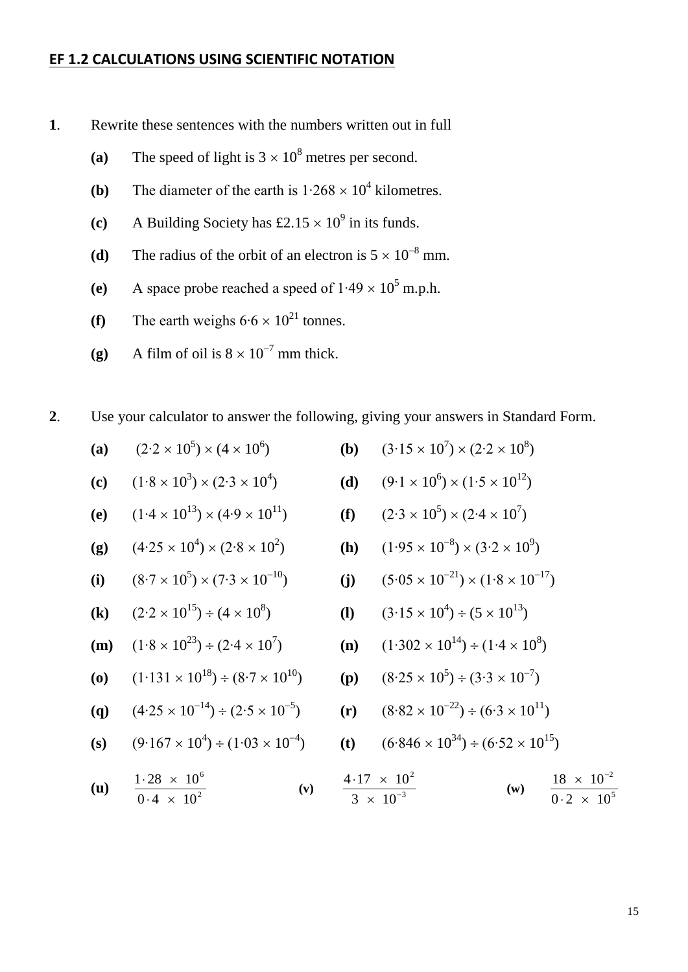#### **EF 1.2 CALCULATIONS USING SCIENTIFIC NOTATION**

- **1**. Rewrite these sentences with the numbers written out in full
	- (a) The speed of light is  $3 \times 10^8$  metres per second.
	- **(b)** The diameter of the earth is  $1.268 \times 10^4$  kilometres.
	- (c) A Building Society has  $\pounds2.15 \times 10^9$  in its funds.
	- (d) The radius of the orbit of an electron is  $5 \times 10^{-8}$  mm.
	- (e) A space probe reached a speed of  $1.49 \times 10^5$  m.p.h.
	- **(f)** The earth weighs  $6.6 \times 10^{21}$  tonnes.
	- (g) A film of oil is  $8 \times 10^{-7}$  mm thick.

**2**. Use your calculator to answer the following, giving your answers in Standard Form.

- (a)  $(2.2 \times 10^5) \times (4 \times 10^6)$
- (c)  $(1·8 \times 10^{3}) \times (2·3 \times 10^{4})$
- **(e)**  $(1·4 \times 10^{13}) \times (4·9 \times 10^{11})$  **(f)**
- **(g)**  $(4.25 \times 10^4) \times (2.8 \times 10^2)$
- (i)  $(8.7 \times 10^5) \times (7.3 \times 10^{-10})$
- **(k)**  $(2.2 \times 10^{15}) \div (4 \times 10^8)$
- **(m)**  $(1·8 \times 10^{23}) \div (2·4 \times 10^7)$
- **(o)**  $(1.131 \times 10^{18}) \div (8.7 \times 10^{10})$  **(p)**
- **(q)**  $(4.25 \times 10^{-14}) \div (2.5 \times 10^{-5})$
- **(s)**  $(9.167 \times 10^4) \div (1.03 \times 10^{-4})$
- **(u)** 2 6  $0.4 \times 10$  $1.28 \times 10$  $\cdot$  4  $\times$  $-28 \times$ **(v)**
- (**b**)  $(3.15 \times 10^7) \times (2.2 \times 10^8)$ 
	- (d)  $(9.1 \times 10^6) \times (1.5 \times 10^{12})$ 
		- ) × (2⋅4 × 10<sup>7</sup>)
		- (**h**)  $(1.95 \times 10^{-8}) \times (3.2 \times 10^{9})$ 
			- (j)  $(5.05 \times 10^{-21}) \times (1.8 \times 10^{-17})$
- (**l**)  $(3.15 \times 10^4) \div (5 \times 10^{13})$ 
	- (**n**)  $(1·302 \times 10^{14}) \div (1·4 \times 10^8)$ 
		- $\pm (3.3 \times 10^{-7})$
		- $(r)$   $(8.82 \times 10^{-22}) \div (6.3 \times 10^{11})$
		- **(t)**  $(6.846 \times 10^{34}) \div (6.52 \times 10^{15})$

$$
\frac{4.17 \times 10^{2}}{3 \times 10^{-3}}
$$
 (w) 
$$
\frac{18 \times 10^{-2}}{0.2 \times 10^{5}}
$$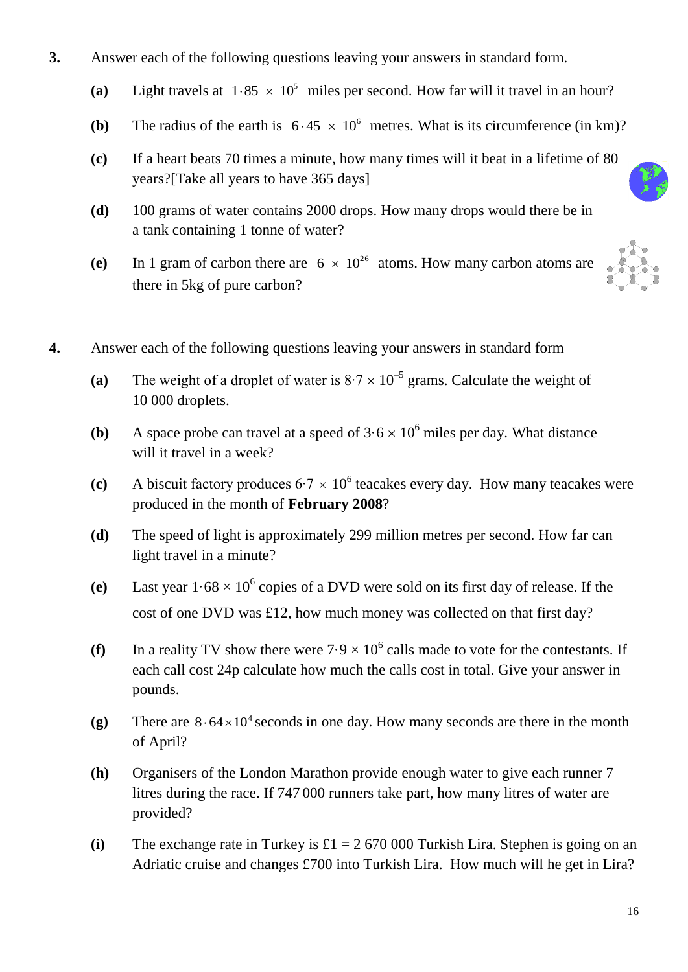- **3.** Answer each of the following questions leaving your answers in standard form.
	- (a) Light travels at  $1.85 \times 10^5$  miles per second. How far will it travel in an hour?
	- **(b)** The radius of the earth is  $6.45 \times 10^6$  metres. What is its circumference (in km)?
	- **(c)** If a heart beats 70 times a minute, how many times will it beat in a lifetime of 80 years?[Take all years to have 365 days]
	- **(d)** 100 grams of water contains 2000 drops. How many drops would there be in a tank containing 1 tonne of water?
	- (e) In 1 gram of carbon there are  $6 \times 10^{26}$  atoms. How many carbon atoms are there in 5kg of pure carbon?

- **4.** Answer each of the following questions leaving your answers in standard form
	- (a) The weight of a droplet of water is  $8.7 \times 10^{-5}$  grams. Calculate the weight of 10 000 droplets.
	- **(b)** A space probe can travel at a speed of  $3.6 \times 10^6$  miles per day. What distance will it travel in a week?
	- (c) A biscuit factory produces  $6.7 \times 10^6$  teacakes every day. How many teacakes were produced in the month of **February 2008**?
	- **(d)** The speed of light is approximately 299 million metres per second. How far can light travel in a minute?
	- (e) Last year  $1.68 \times 10^6$  copies of a DVD were sold on its first day of release. If the cost of one DVD was £12, how much money was collected on that first day?
	- (f) In a reality TV show there were  $7.9 \times 10^6$  calls made to vote for the contestants. If each call cost 24p calculate how much the calls cost in total. Give your answer in pounds.
	- (g) There are  $8.64 \times 10^4$  seconds in one day. How many seconds are there in the month of April?
	- **(h)** Organisers of the London Marathon provide enough water to give each runner 7 litres during the race. If 747 000 runners take part, how many litres of water are provided?
	- (i) The exchange rate in Turkey is  $\pounds 1 = 2,670,000$  Turkish Lira. Stephen is going on an Adriatic cruise and changes £700 into Turkish Lira. How much will he get in Lira?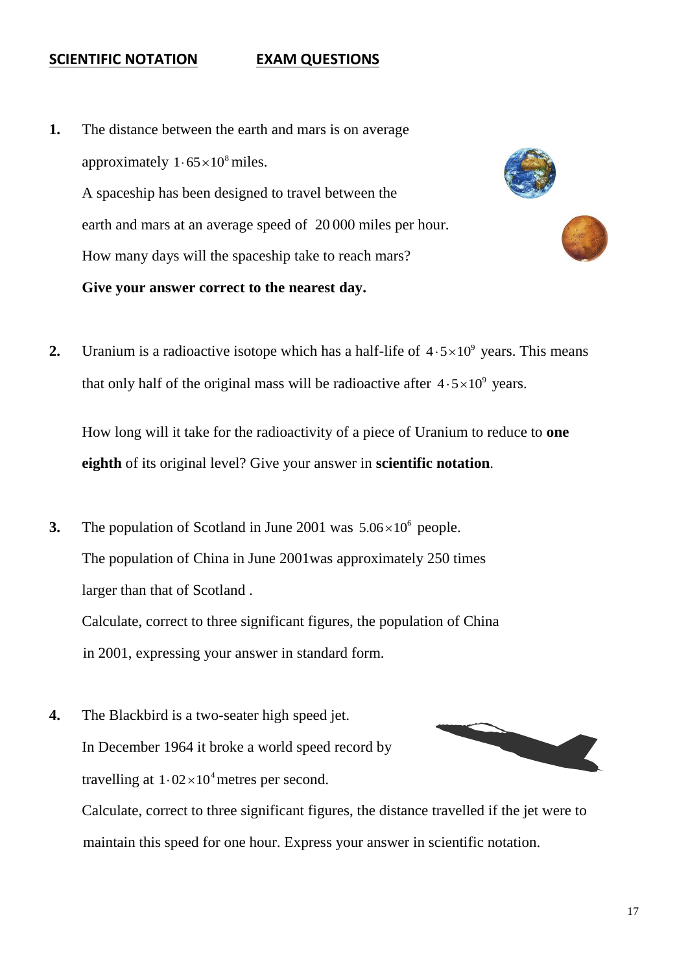### **SCIENTIFIC NOTATION EXAM QUESTIONS**

**1.** The distance between the earth and mars is on average approximately  $1.65 \times 10^8$  miles. A spaceship has been designed to travel between the earth and mars at an average speed of 20 000 miles per hour. How many days will the spaceship take to reach mars? **Give your answer correct to the nearest day.** 





**2.** Uranium is a radioactive isotope which has a half-life of  $4.5 \times 10^9$  years. This means that only half of the original mass will be radioactive after  $4.5 \times 10^9$  years.

How long will it take for the radioactivity of a piece of Uranium to reduce to **one eighth** of its original level? Give your answer in **scientific notation**.

**3.** The population of Scotland in June 2001 was  $5.06 \times 10^6$  people. The population of China in June 2001was approximately 250 times larger than that of Scotland . Calculate, correct to three significant figures, the population of China

in 2001, expressing your answer in standard form.

**4.** The Blackbird is a two-seater high speed jet. In December 1964 it broke a world speed record by travelling at  $1.02 \times 10^4$  metres per second. Calculate, correct to three significant figures, the distance travelled if the jet were to maintain this speed for one hour. Express your answer in scientific notation.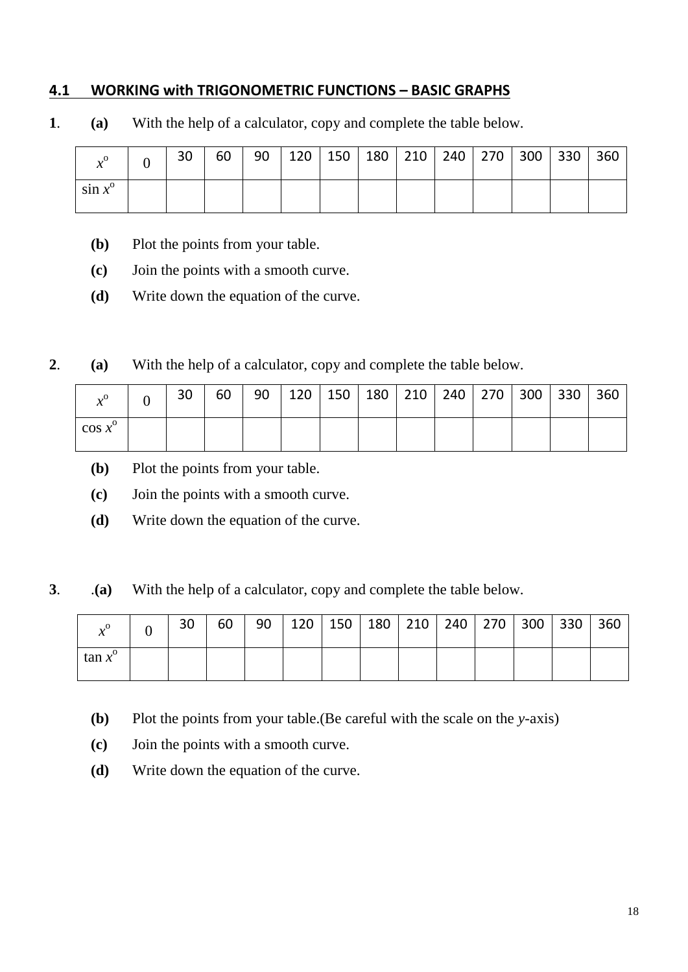## **4.1 WORKING with TRIGONOMETRIC FUNCTIONS – BASIC GRAPHS**

**1**. **(a)** With the help of a calculator, copy and complete the table below.

| $\mathbf{v}^{\mathbf{0}}$<br>$\boldsymbol{\mathcal{N}}$ | 30 | 60 | 90 | $120$   150 | 180 | $210$   240   270 | 300 | 330 | 360 |
|---------------------------------------------------------|----|----|----|-------------|-----|-------------------|-----|-----|-----|
| $\sin x^{\circ}$                                        |    |    |    |             |     |                   |     |     |     |

- **(b)** Plot the points from your table.
- **(c)** Join the points with a smooth curve.
- **(d)** Write down the equation of the curve.
- **2**. **(a)** With the help of a calculator, copy and complete the table below.

| $\mathbf{0}_{\alpha}$ | 30 | 60 | 90 | 120 | 150 | 180 | 210 240 270 | 300 | 330 | 360 |
|-----------------------|----|----|----|-----|-----|-----|-------------|-----|-----|-----|
| $\cos x^{\circ}$      |    |    |    |     |     |     |             |     |     |     |

- **(b)** Plot the points from your table.
- **(c)** Join the points with a smooth curve.
- **(d)** Write down the equation of the curve.

**3**. .**(a)** With the help of a calculator, copy and complete the table below.

| $\mathbf{v}^{\mathbf{0}}$ | 30 | 60 | 90 | $\vert$ 120 $\vert$ |  | 150   180   210   240   270 | $300$ | 330 | 360 |
|---------------------------|----|----|----|---------------------|--|-----------------------------|-------|-----|-----|
| $\tan x^{\circ}$          |    |    |    |                     |  |                             |       |     |     |

- **(b)** Plot the points from your table.(Be careful with the scale on the *y*-axis)
- **(c)** Join the points with a smooth curve.
- **(d)** Write down the equation of the curve.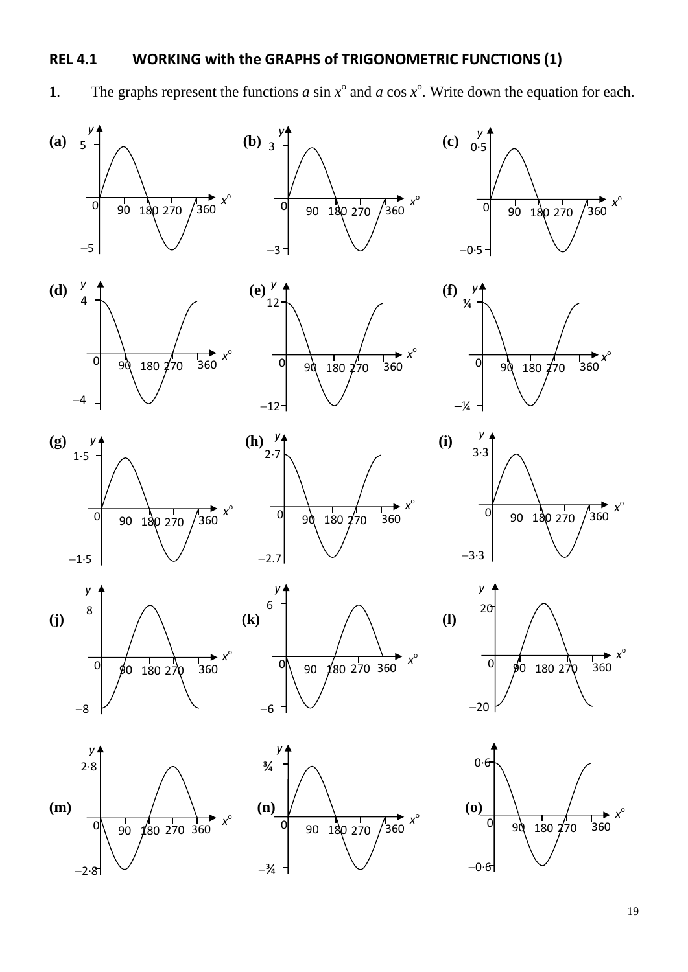# **REL 4.1 WORKING with the GRAPHS of TRIGONOMETRIC FUNCTIONS (1)**

**1**. The graphs represent the functions *a* sin  $x^{\circ}$  and *a* cos  $x^{\circ}$ . Write down the equation for each.

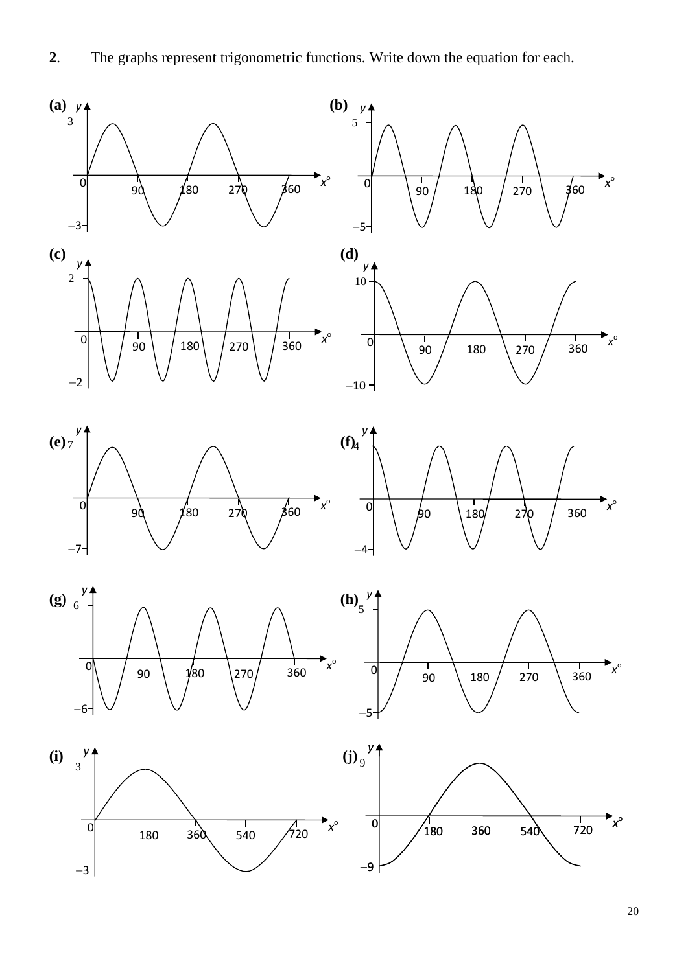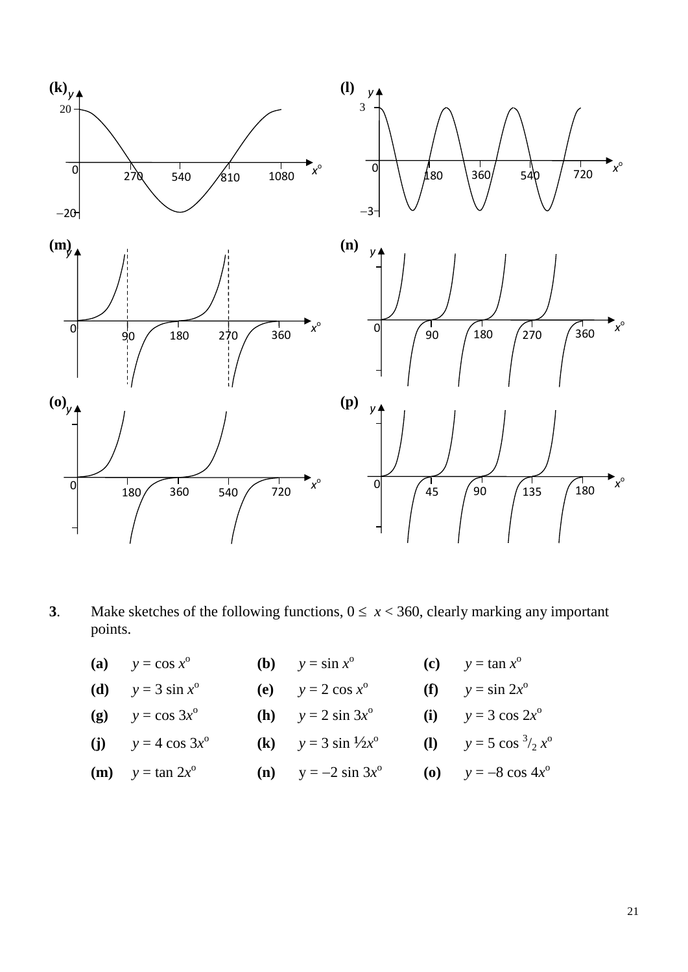![](_page_20_Figure_0.jpeg)

**3**. Make sketches of the following functions,  $0 \le x < 360$ , clearly marking any important points.

| (a) $y = \cos x^{\circ}$            | <b>(b)</b> $y = \sin x^{\circ}$       | (c) $y = \tan x^0$               |
|-------------------------------------|---------------------------------------|----------------------------------|
| ( <b>d</b> ) $y = 3 \sin x^{\circ}$ | (e) $y = 2 \cos x^{\circ}$            | (f) $y = \sin 2x^{\circ}$        |
| (g) $y = \cos 3x^{\circ}$           | ( <b>h</b> ) $y = 2 \sin 3x^{\circ}$  | (i) $y = 3 \cos 2x^{\circ}$      |
| (j) $y = 4 \cos 3x^{\circ}$         | (k) $y = 3 \sin \frac{1}{2}x^{\circ}$ | (1) $y = 5 \cos^{3}/2 x^{\circ}$ |
| ( <b>m</b> ) $y = \tan 2x^{\circ}$  | ( <b>n</b> ) $y = -2 \sin 3x^{\circ}$ | (o) $y = -8 \cos 4x^{\circ}$     |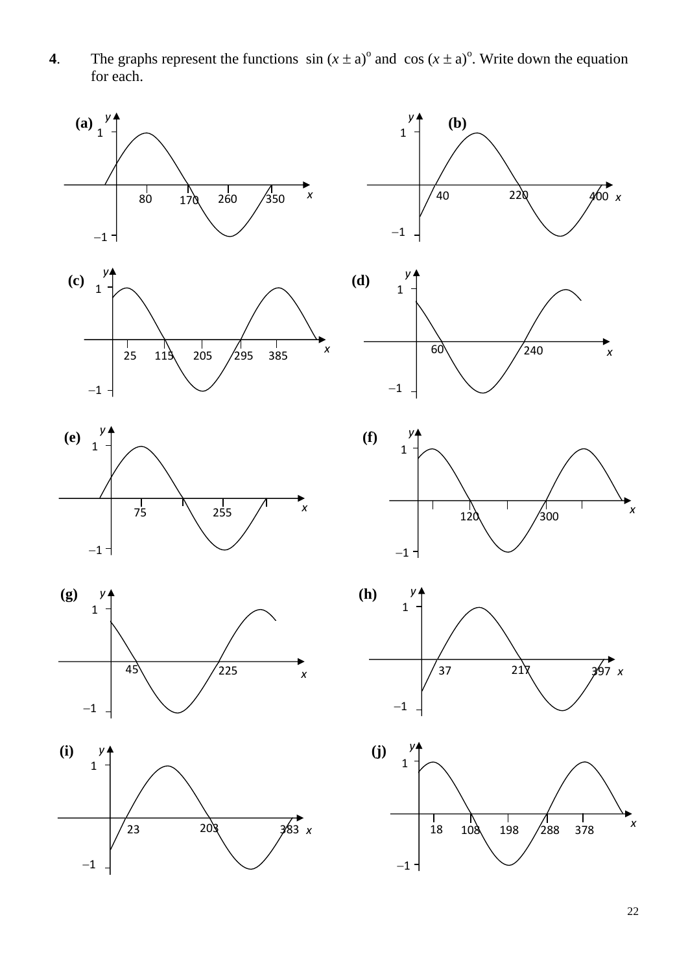**4**. The graphs represent the functions  $\sin (x \pm a)^{\circ}$  and  $\cos (x \pm a)^{\circ}$ . Write down the equation for each.

![](_page_21_Figure_1.jpeg)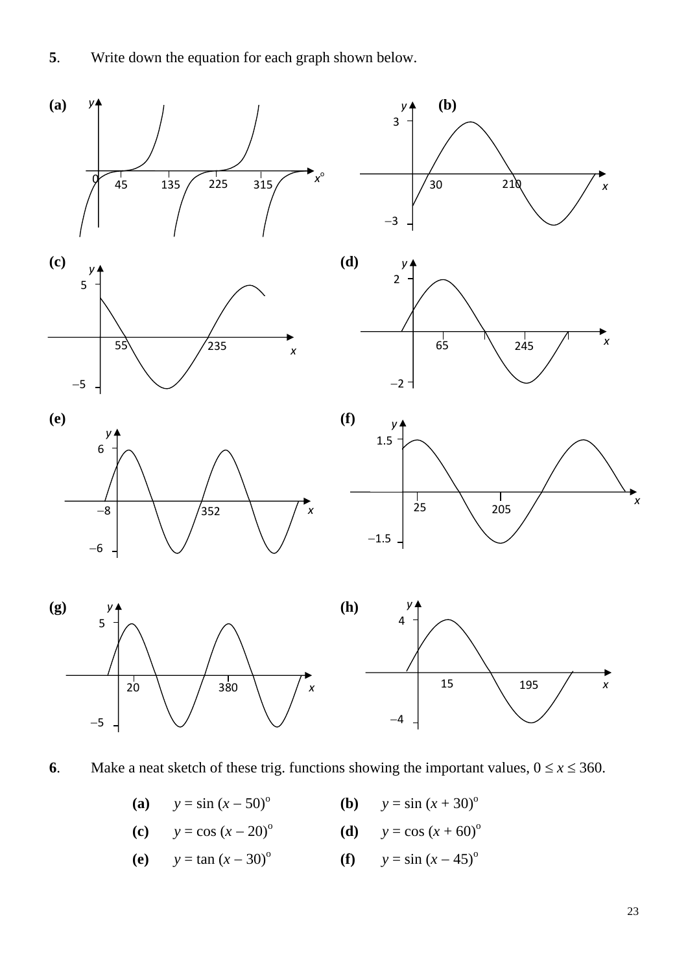**5**. Write down the equation for each graph shown below.

![](_page_22_Figure_1.jpeg)

**6**. Make a neat sketch of these trig. functions showing the important values,  $0 \le x \le 360$ .

|  | (a) $y = \sin (x - 50)^{\circ}$ |  | <b>(b)</b> $y = \sin (x + 30)^{\circ}$ |
|--|---------------------------------|--|----------------------------------------|
|--|---------------------------------|--|----------------------------------------|

(c) 
$$
y = \cos (x - 20)^{\circ}
$$
 (d)  $y = \cos (x + 60)^{\circ}$ 

(e) 
$$
y = \tan (x - 30)^{\circ}
$$
 (f)  $y = \sin (x - 45)^{\circ}$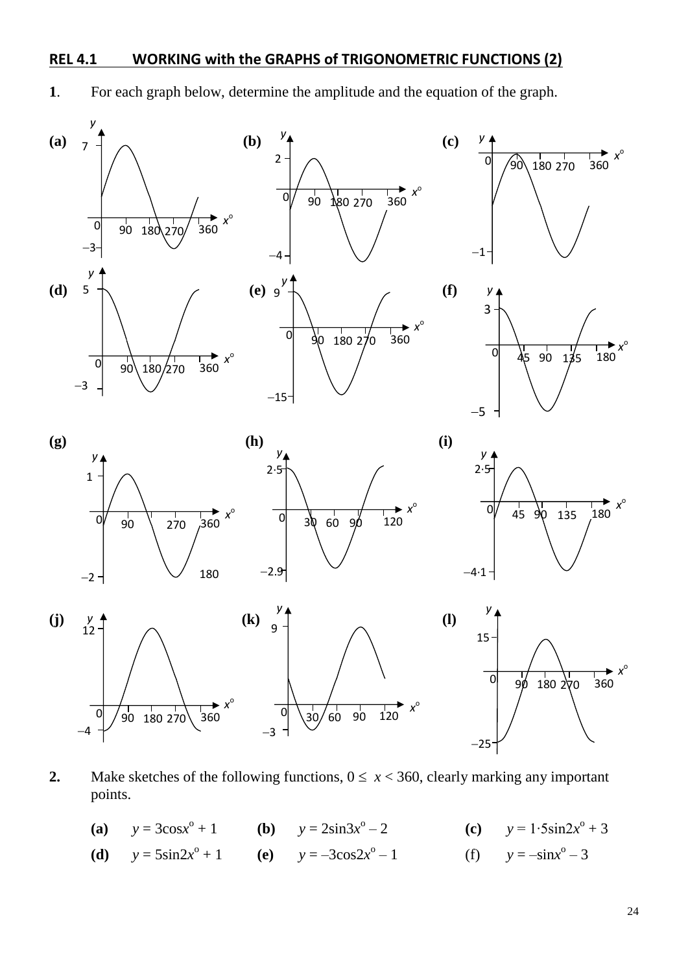### **REL 4.1 WORKING with the GRAPHS of TRIGONOMETRIC FUNCTIONS (2)**

![](_page_23_Figure_1.jpeg)

![](_page_23_Figure_2.jpeg)

**2.** Make sketches of the following functions,  $0 \le x < 360$ , clearly marking any important points.

- (a)  $y = 3\cos x^{\circ}$ + 1 **(b)**  $y = 2\sin 3x^{\circ}$  $-2$  **(c)**  $y = 1.5\sin 2x^{\circ} + 3$
- (**d**)  $y = 5\sin 2x^{\circ}$ + 1 **(e)**  $y = -3\cos 2x^{\circ}$  $y = -\sin x^{\circ} - 3$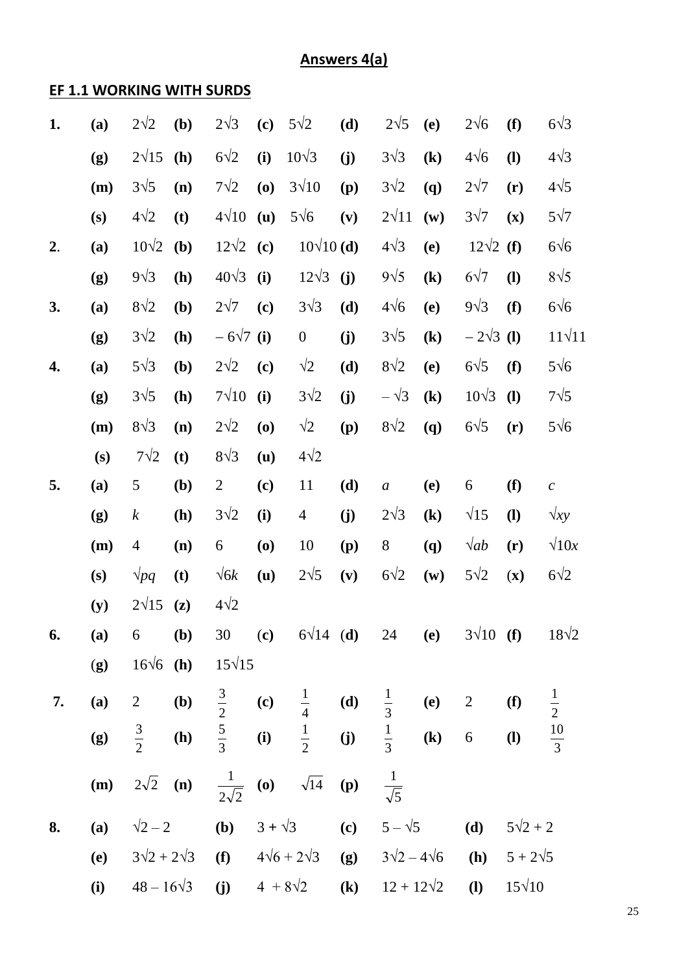# **Answers 4(a)**

# **EF 1.1 WORKING WITH SURDS**

| 1. | (a)        | $2\sqrt{2}$       | (b)            | $2\sqrt{3}$      | (c)                        | $5\sqrt{2}$                                                                          | (d) | $2\sqrt{5}$               | <b>(e)</b>                 | $2\sqrt{6}$                | (f)                        | $6\sqrt{3}$    |
|----|------------|-------------------|----------------|------------------|----------------------------|--------------------------------------------------------------------------------------|-----|---------------------------|----------------------------|----------------------------|----------------------------|----------------|
|    | (g)        | $2\sqrt{15}$      | (h)            | $6\sqrt{2}$      | (i)                        | $10\sqrt{3}$                                                                         | (j) | $3\sqrt{3}$               | $\left( \mathbf{k}\right)$ | $4\sqrt{6}$                | $\mathbf{I}$               | $4\sqrt{3}$    |
|    | (m)        | $3\sqrt{5}$       | (n)            | $7\sqrt{2}$      | (0)                        | $3\sqrt{10}$                                                                         | (p) | $3\sqrt{2}$               | (q)                        | $2\sqrt{7}$                | (r)                        | $4\sqrt{5}$    |
|    | (s)        | $4\sqrt{2}$       | (t)            | $4\sqrt{10}$     | (u)                        | $5\sqrt{6}$                                                                          | (v) | $2\sqrt{11}$              | (w)                        | $3\sqrt{7}$                | (x)                        | $5\sqrt{7}$    |
| 2. | (a)        | $10\sqrt{2}$      | (b)            | $12\sqrt{2}$ (c) |                            | $10\sqrt{10}$ (d)                                                                    |     | $4\sqrt{3}$               | (e)                        | $12\sqrt{2}$ (f)           |                            | $6\sqrt{6}$    |
|    | (g)        | $9\sqrt{3}$       | (h)            | $40\sqrt{3}$     | (i)                        | $12\sqrt{3}$                                                                         | (j) | $9\sqrt{5}$               | $\left( \mathbf{k}\right)$ | $6\sqrt{7}$                | $\mathbf{I}$               | $8\sqrt{5}$    |
| 3. | (a)        | $8\sqrt{2}$       | (b)            | $2\sqrt{7}$      | (c)                        | $3\sqrt{3}$                                                                          | (d) | $4\sqrt{6}$               | (e)                        | $9\sqrt{3}$                | (f)                        | $6\sqrt{6}$    |
|    | (g)        | $3\sqrt{2}$       | (h)            | $-6\sqrt{7}$ (i) |                            | $\boldsymbol{0}$                                                                     | (j) | $3\sqrt{5}$               | $\left( \mathbf{k}\right)$ | $-2\sqrt{3}$ (1)           |                            | $11\sqrt{11}$  |
| 4. | (a)        | $5\sqrt{3}$       | (b)            | $2\sqrt{2}$      | (c)                        | $\sqrt{2}$                                                                           | (d) | $8\sqrt{2}$               | (e)                        | $6\sqrt{5}$                | (f)                        | $5\sqrt{6}$    |
|    | (g)        | $3\sqrt{5}$       | (h)            | $7\sqrt{10}$     | (i)                        | $3\sqrt{2}$                                                                          | (j) | $-\sqrt{3}$               | $\left( \mathbf{k}\right)$ | $10\sqrt{3}$               | $\mathbf{I}$               | $7\sqrt{5}$    |
|    | (m)        | $8\sqrt{3}$       | (n)            | $2\sqrt{2}$      | (0)                        | $\sqrt{2}$                                                                           | (p) | $8\sqrt{2}$               | <b>(q)</b>                 | $6\sqrt{5}$                | (r)                        | $5\sqrt{6}$    |
|    | (s)        | $7\sqrt{2}$       | (t)            | $8\sqrt{3}$      | (u)                        | $4\sqrt{2}$                                                                          |     |                           |                            |                            |                            |                |
| 5. | (a)        | $\mathfrak{S}$    | ( <b>b</b> )   | $\overline{2}$   | $\left( \mathbf{c}\right)$ | 11                                                                                   | (d) | $\boldsymbol{a}$          | (e)                        | 6                          | (f)                        | $\mathcal C$   |
|    | (g)        | $\boldsymbol{k}$  | (h)            | $3\sqrt{2}$      | (i)                        | $\overline{4}$                                                                       | (j) | $2\sqrt{3}$               | $\left( \mathbf{k}\right)$ | $\sqrt{15}$                | <b>(I)</b>                 | $\sqrt{xy}$    |
|    | (m)        | $\overline{4}$    | (n)            | 6                | (0)                        | 10                                                                                   | (p) | $8\,$                     | <b>(q)</b>                 | $\sqrt{ab}$                | (r)                        | $\sqrt{10x}$   |
|    | (s)        | $\sqrt{pq}$       | (t)            | $\sqrt{6k}$      | (u)                        | $2\sqrt{5}$                                                                          | (v) | $6\sqrt{2}$               | $(\mathbf{w})$             | $5\sqrt{2}$                | $(\mathbf{x})$             | $6\sqrt{2}$    |
|    | (y)        | $2\sqrt{15}$      | $(\mathbf{z})$ | $4\sqrt{2}$      |                            |                                                                                      |     |                           |                            |                            |                            |                |
| 6. | (a)        | 6                 | (b)            |                  |                            | 30 (c) $6\sqrt{14}$ (d) 24                                                           |     |                           | (e)                        | $3\sqrt{10}$ (f)           |                            | $18\sqrt{2}$   |
|    | (g)        | $16\sqrt{6}$ (h)  |                | $15\sqrt{15}$    |                            |                                                                                      |     |                           |                            |                            |                            |                |
| 7. | (a)        | 2 (b)             |                |                  |                            | $\frac{3}{2}$ (c) $\frac{1}{4}$ (d) $\frac{1}{3}$ (e) 2                              |     |                           |                            |                            | (f)                        | $\frac{1}{2}$  |
|    | (g)        |                   |                |                  |                            | $\frac{3}{2}$ (h) $\frac{5}{3}$ (i) $\frac{1}{2}$ (j) $\frac{1}{3}$ (k) 6            |     |                           |                            |                            | $\left( \mathbf{l}\right)$ | $\frac{10}{3}$ |
|    |            |                   |                |                  |                            | ( <b>m</b> ) $2\sqrt{2}$ ( <b>n</b> ) $\frac{1}{2\sqrt{2}}$ ( <b>o</b> ) $\sqrt{14}$ | (p) | $rac{1}{\sqrt{5}}$        |                            |                            |                            |                |
| 8. | (a)        |                   |                |                  |                            | $\sqrt{2} - 2$ ( <b>b</b> ) $3 + \sqrt{3}$ ( <b>c</b> )                              |     | $5 - \sqrt{5}$            |                            | (d)                        | $5\sqrt{2} + 2$            |                |
|    | <b>(e)</b> |                   |                |                  |                            | $3\sqrt{2} + 2\sqrt{3}$ (f) $4\sqrt{6} + 2\sqrt{3}$                                  |     | (g) $3\sqrt{2}-4\sqrt{6}$ |                            | (h)                        | $5 + 2\sqrt{5}$            |                |
|    | (i)        | $48 - 16\sqrt{3}$ |                |                  |                            | (j) $4 + 8\sqrt{2}$                                                                  |     | (k) $12 + 12\sqrt{2}$     |                            | $\left( \mathbf{l}\right)$ | $15\sqrt{10}$              |                |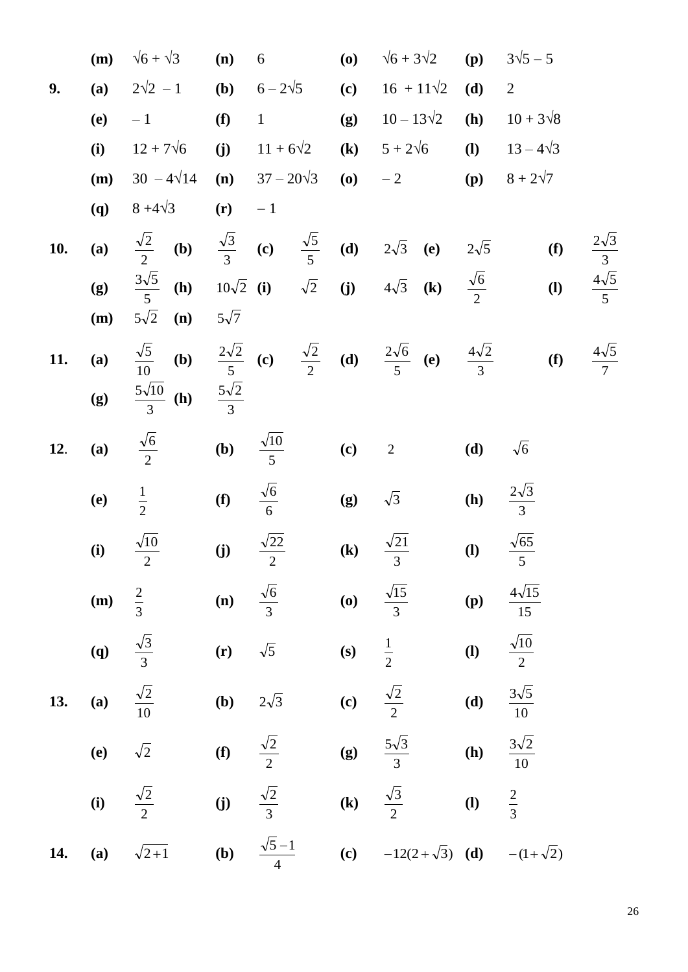(m) 
$$
\sqrt{6} + \sqrt{3}
$$
 (n) 6 (o)  $\sqrt{6} + 3\sqrt{2}$  (p)  $3\sqrt{5} - 5$   
\n9. (a)  $2\sqrt{2} - 1$  (b)  $6 - 2\sqrt{5}$  (c)  $16 + 11\sqrt{2}$  (d) 2  
\n(e) -1 (f) 1 (g)  $10 - 13\sqrt{2}$  (h)  $10 + 3\sqrt{8}$   
\n(i)  $12 + 7\sqrt{6}$  (j)  $11 + 6\sqrt{2}$  (k)  $5 + 2\sqrt{6}$  (l)  $13 - 4\sqrt{3}$   
\n(m)  $30 - 4\sqrt{14}$  (n)  $37 - 20\sqrt{3}$  (o) -2 (p)  $8 + 2\sqrt{7}$   
\n(q)  $8 + 4\sqrt{3}$  (r) -1  
\n10. (a)  $\frac{\sqrt{2}}{2}$  (b)  $\frac{\sqrt{3}}{3}$  (c)  $\frac{\sqrt{5}}{5}$  (d)  $2\sqrt{3}$  (e)  $2\sqrt{5}$  (f)  $\frac{2\sqrt{3}}{3}$   
\n(g)  $\frac{3\sqrt{5}}{5}$  (h)  $10\sqrt{2}$  (i)  $\sqrt{2}$  (j)  $4\sqrt{3}$  (k)  $\frac{\sqrt{6}}{2}$  (l)  $\frac{4\sqrt{5}}{5}$   
\n(m)  $5\sqrt{2}$  (n)  $5\sqrt{7}$   
\n11. (a)  $\frac{\sqrt{5}}{10}$  (b)  $\frac{2\sqrt{2}}{5}$  (c)  $\frac{\sqrt{2}}{2}$  (d)  $\frac{2\sqrt{6}}{5}$  (e)  $\frac{4\sqrt{2}}{3}$  (f)  $\frac{4\sqrt{5}}{7}$   
\n(g)  $\frac{5\sqrt{10}}{3}$  (h)  $\frac{5\sqrt{2}}{2}$  (i)  $\frac{\sqrt{2}}{5}$  (j)  $\sqrt{3}$  (k)  $\frac{\sqrt{6}}{3$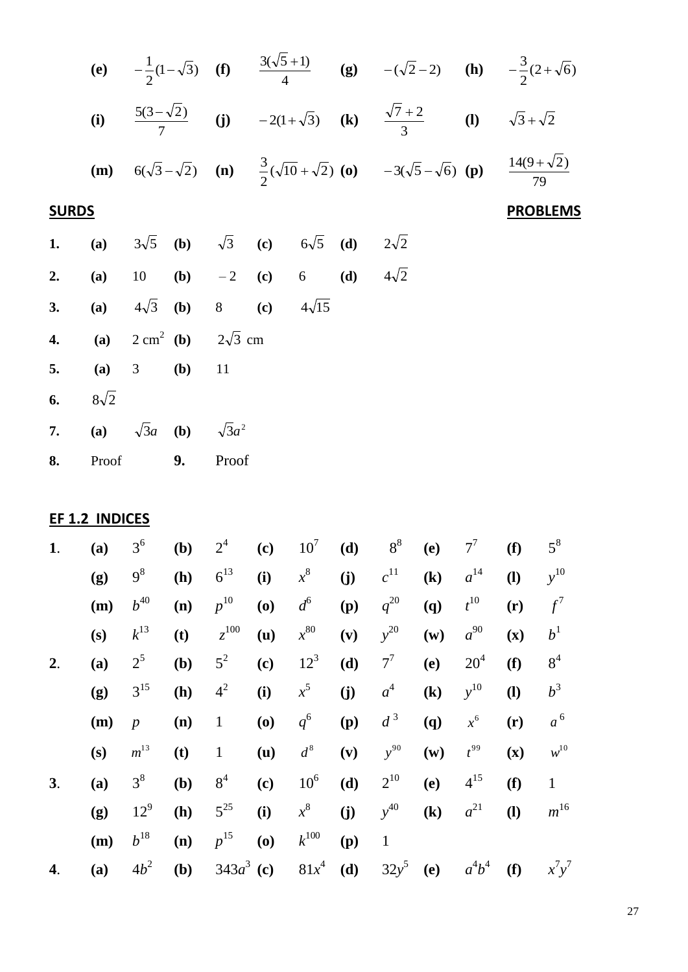|              |                                                                          |  |  |  | (e) $-\frac{1}{2}(1-\sqrt{3})$ (f) $\frac{3(\sqrt{5}+1)}{4}$ (g) $-(\sqrt{2}-2)$ (h) $-\frac{3}{2}(2+\sqrt{6})$                                                  |                 |
|--------------|--------------------------------------------------------------------------|--|--|--|------------------------------------------------------------------------------------------------------------------------------------------------------------------|-----------------|
|              |                                                                          |  |  |  | (i) $\frac{5(3-\sqrt{2})}{7}$ (j) $-2(1+\sqrt{3})$ (k) $\frac{\sqrt{7}+2}{3}$ (l) $\sqrt{3}+\sqrt{2}$                                                            |                 |
|              |                                                                          |  |  |  | ( <b>m</b> ) $6(\sqrt{3}-\sqrt{2})$ ( <b>n</b> ) $\frac{3}{2}(\sqrt{10}+\sqrt{2})$ ( <b>o</b> ) $-3(\sqrt{5}-\sqrt{6})$ ( <b>p</b> ) $\frac{14(9+\sqrt{2})}{79}$ |                 |
| <b>SURDS</b> |                                                                          |  |  |  |                                                                                                                                                                  | <b>PROBLEMS</b> |
|              | <b>1.</b> (a) $3\sqrt{5}$ (b) $\sqrt{3}$ (c) $6\sqrt{5}$ (d) $2\sqrt{2}$ |  |  |  |                                                                                                                                                                  |                 |
|              | <b>2.</b> (a) 10 (b) $-2$ (c) 6 (d) $4\sqrt{2}$                          |  |  |  |                                                                                                                                                                  |                 |
|              | 3. (a) $4\sqrt{3}$ (b) 8 (c) $4\sqrt{15}$                                |  |  |  |                                                                                                                                                                  |                 |
|              | 4. <b>(a)</b> $2 \text{ cm}^2$ <b>(b)</b> $2\sqrt{3} \text{ cm}^2$       |  |  |  |                                                                                                                                                                  |                 |
|              | 5. (a) 3 (b) 11                                                          |  |  |  |                                                                                                                                                                  |                 |
|              | 6. $8\sqrt{2}$                                                           |  |  |  |                                                                                                                                                                  |                 |
|              | 7. (a) $\sqrt{3}a$ (b) $\sqrt{3}a^2$                                     |  |  |  |                                                                                                                                                                  |                 |
|              | 8. Proof 9. Proof                                                        |  |  |  |                                                                                                                                                                  |                 |

| EF 1.2 |     | <b>INDICES</b> |     |                |                            |                 |     |              |                            |                 |                            |                       |
|--------|-----|----------------|-----|----------------|----------------------------|-----------------|-----|--------------|----------------------------|-----------------|----------------------------|-----------------------|
| 1.     | (a) | 3 <sup>6</sup> | (b) | 2 <sup>4</sup> | (c)                        | 10 <sup>7</sup> | (d) | $8^8$        | (e)                        | $7^7$           | (f)                        | $5^8$                 |
|        | (g) | 9 <sup>8</sup> | (h) | $6^{13}$       | (i)                        | $x^8$           | (j) | $c^{11}$     | $\left( \mathbf{k}\right)$ | $a^{14}$        | $\mathbf{I}$               | $y^{10}$              |
|        | (m) | $b^{40}$       | (n) | $p^{10}$       | (0)                        | $d^6$           | (p) | $q^{20}$     | (q)                        | $t^{10}$        | (r)                        | $f^7$                 |
|        | (s) | $k^{13}$       | (t) | $z^{100}$      | (u)                        | $x^{80}$        | (v) | $y^{20}$     | $(\mathbf{w})$             | $a^{90}$        | $(\mathbf{x})$             | $b^1$                 |
| 2.     | (a) | $2^5$          | (b) | $5^2$          | $\left( \mathbf{c}\right)$ | $12^{3}$        | (d) | $7^7$        | (e)                        | 20 <sup>4</sup> | (f)                        | 8 <sup>4</sup>        |
|        | (g) | $3^{15}$       | (h) | $4^2$          | (i)                        | $x^5$           | (j) | $a^4$        | $\left(\mathbf{k}\right)$  | $y^{10}$        | $\left( \mathbf{l}\right)$ | $b^3$                 |
|        | (m) | $\overline{p}$ | (n) | $\mathbf{1}$   | (0)                        | $q^6$           | (p) | $d^3$        | (q)                        | $x^6$           | (r)                        | $a^6$                 |
|        | (s) | $m^{13}$       | (t) | $\mathbf{1}$   | (u)                        | $d^8$           | (v) | $y^{90}$     | $(\mathbf{w})$             | $t^{99}$        | $(\mathbf{x})$             | $\boldsymbol{w}^{10}$ |
| 3.     | (a) | $3^8$          | (b) | 8 <sup>4</sup> | $\left( \mathbf{c}\right)$ | $10^6$          | (d) | $2^{10}$     | (e)                        | $4^{15}$        | (f)                        | $\mathbf{1}$          |
|        | (g) | $12^{9}$       | (h) | $5^{25}$       | (i)                        | $x^8$           | (j) | $y^{40}$     | $\left( \mathbf{k}\right)$ | $a^{21}$        | $\left( \mathbf{l}\right)$ | $m^{16}$              |
|        | (m) | $b^{18}$       | (n) | $p^{15}$       | (0)                        | $k^{100}$       | (p) | $\mathbf{1}$ |                            |                 |                            |                       |
| 4.     | (a) | $4b^2$         | (b) | $343a^3$ (c)   |                            | $81x^4$         | (d) | $32y^5$      | (e)                        | $a^4b^4$        | (f)                        | $x^7y^7$              |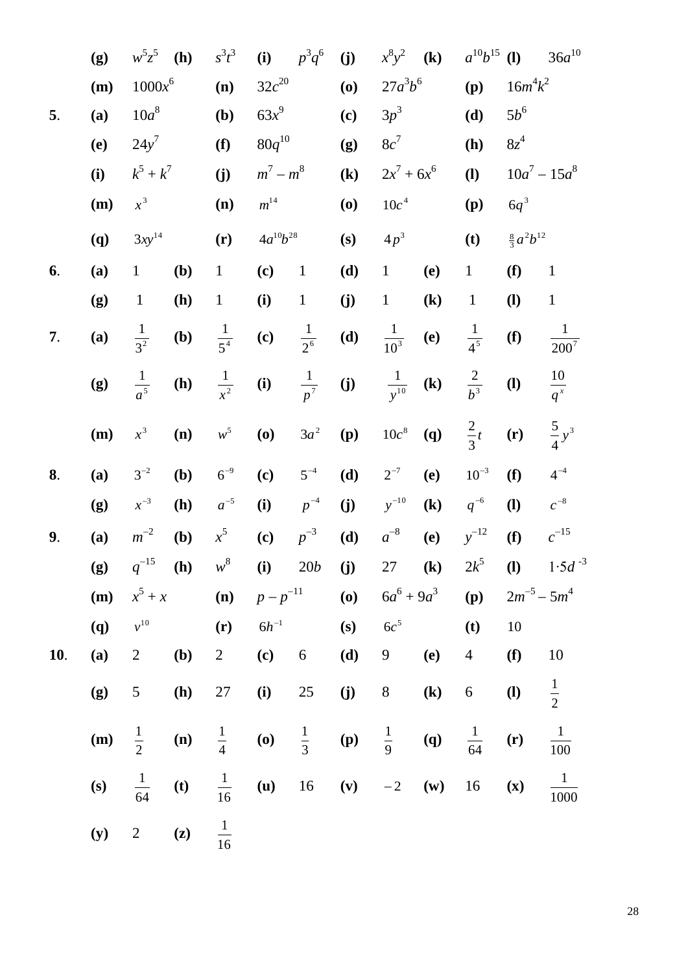|     | (g) | $w^5z^5$        | (h)            | $s^3t^3$        | (i)                        | $p^3q^6$        | (j)                        | $x^8y^2$           | $\left( \mathbf{k}\right)$ | $a^{10}b^{15}$             | $\mathbf{I}$               | $36a^{10}$                         |
|-----|-----|-----------------|----------------|-----------------|----------------------------|-----------------|----------------------------|--------------------|----------------------------|----------------------------|----------------------------|------------------------------------|
|     | (m) | $1000x^6$       |                | (n)             | $32c^{20}$                 |                 | (0)                        | $27a^3b^6$         |                            | (p)                        | $16m^4k^2$                 |                                    |
| 5.  | (a) | $10a^8$         |                | (b)             | $63x^9$                    |                 | (c)                        | $3p^3$             |                            | (d)                        | $5b^6$                     |                                    |
|     | (e) | $24y^7$         |                | (f)             | $80q^{10}$                 |                 | (g)                        | $8c^7$             |                            | (h)                        | $8z^4$                     |                                    |
|     | (i) | $k^5 + k^7$     |                | (j)             | $m^7 - m^8$                |                 | $\left( \mathbf{k}\right)$ | $2x^7 + 6x^6$      |                            | $\left( \mathbf{l}\right)$ | $10a^7 - 15a^8$            |                                    |
|     | (m) | $x^3$           |                | (n)             | $m^{14}$                   |                 | (0)                        | 10c <sup>4</sup>   |                            | (p)                        | $6q^3$                     |                                    |
|     | (q) | $3xy^{14}$      |                | (r)             | $4a^{10}b^{28}$            |                 | (s)                        | $4p^3$             |                            | (t)                        | $\frac{8}{3}a^2b^{12}$     |                                    |
| 6.  | (a) | $\mathbf{1}$    | (b)            | $\mathbf{1}$    | (c)                        | $\mathbf{1}$    | (d)                        | $\mathbf{1}$       | (e)                        | $\,1$                      | (f)                        | $\mathbf{1}$                       |
|     | (g) | $\mathbf{1}$    | (h)            | $\mathbf{1}$    | (i)                        | $\mathbf 1$     | (j)                        | $\mathbf{1}$       | $\left( \mathbf{k}\right)$ | $\mathbf 1$                | $\mathbf{I}$               | $\mathbf{1}$                       |
| 7.  | (a) | $\frac{1}{3^2}$ | (b)            | $\frac{1}{5^4}$ | $\left( \mathbf{c}\right)$ | $\frac{1}{2^6}$ | (d)                        | $\frac{1}{10^3}$   | <b>(e)</b>                 | $\frac{1}{4^5}$            | (f)                        | $\mathbf{1}$<br>$2\overline{00^7}$ |
|     | (g) | $rac{1}{a^5}$   | (h)            | $rac{1}{x^2}$   | (i)                        | $\frac{1}{p^7}$ | $\mathbf{j}$               | $\frac{1}{y^{10}}$ | $\left( \mathbf{k}\right)$ | $\frac{2}{b^3}$            | $\left( \mathbf{l}\right)$ | $\frac{10}{q^x}$                   |
|     | (m) | $x^3$           | (n)            | $w^5$           | (0)                        | $3a^2$          | (p)                        | $10c^8$            | <b>(q)</b>                 | $rac{2}{3}t$               | (r)                        | $\frac{5}{4}y^3$                   |
| 8.  | (a) | $3^{-2}$        | (b)            | $6^{-9}$        | $\left( \mathbf{c}\right)$ | $5^{-4}$        | (d)                        | $2^{-7}$           | (e)                        | $10^{-3}$                  | (f)                        | $4^{-4}$                           |
|     | (g) | $x^{-3}$        | (h)            | $a^{-5}$        | (i)                        | $p^{-4}$        | (j)                        | $y^{-10}$          | $\left( \mathbf{k}\right)$ | $q^{-6}$                   | $\mathbf{I}$               | $c^{-8}$                           |
| 9.  | (a) | $m^{-2}$        | (b)            | $x^5$           | $\left( \mathbf{c}\right)$ | $p^{-3}$        | (d)                        | $a^{-8}$           | (e)                        | $y^{-12}$                  | (f)                        | $c^{-15}$                          |
|     | (g) | $q^{-15}$       | (h)            | $w^8$           | $(i)$ 20 <i>b</i>          |                 | (j)                        | 27                 | $\left( \mathbf{k}\right)$ | $2k^5$                     | $\mathbf{I}$               | $1.5d^{-3}$                        |
|     | (m) | $x^5 + x$       |                | (n)             | $p - p^{-11}$              |                 | (0)                        | $6a^6 + 9a^3$      |                            | (p)                        | $2m^{-5} - 5m^{4}$         |                                    |
|     | (q) | $v^{10}$        |                | (r)             | $6h^{-1}$                  |                 | (s)                        | 6c <sup>5</sup>    |                            | (t)                        | 10                         |                                    |
| 10. | (a) | $\sqrt{2}$      | (b)            | $\overline{2}$  | (c)                        | 6               | (d)                        | 9                  | (e)                        | $\overline{4}$             | (f)                        | 10                                 |
|     | (g) | 5               | (h)            | $27\,$          | (i)                        | $25\,$          | (j)                        | $8\,$              | $\left( \mathbf{k}\right)$ | $\boldsymbol{6}$           | $\mathbf{I}$               | $\frac{1}{2}$                      |
|     | (m) | $\frac{1}{2}$   | (n)            | $\frac{1}{4}$   | (0)                        | $\frac{1}{3}$   | (p)                        | $\frac{1}{9}$      | $\left( \mathbf{q}\right)$ | $\frac{1}{64}$             | (r)                        | $\frac{1}{100}$                    |
|     | (s) | $\frac{1}{64}$  | (t)            | $\frac{1}{16}$  | $(\mathbf{u})$             | $16\,$          | (v)                        | $-2$               | $(\mathbf{w})$             | $16\,$                     | $(\mathbf{x})$             | $\mathbf{1}$<br>1000               |
|     | (y) | $\overline{2}$  | $(\mathbf{z})$ | $\frac{1}{16}$  |                            |                 |                            |                    |                            |                            |                            |                                    |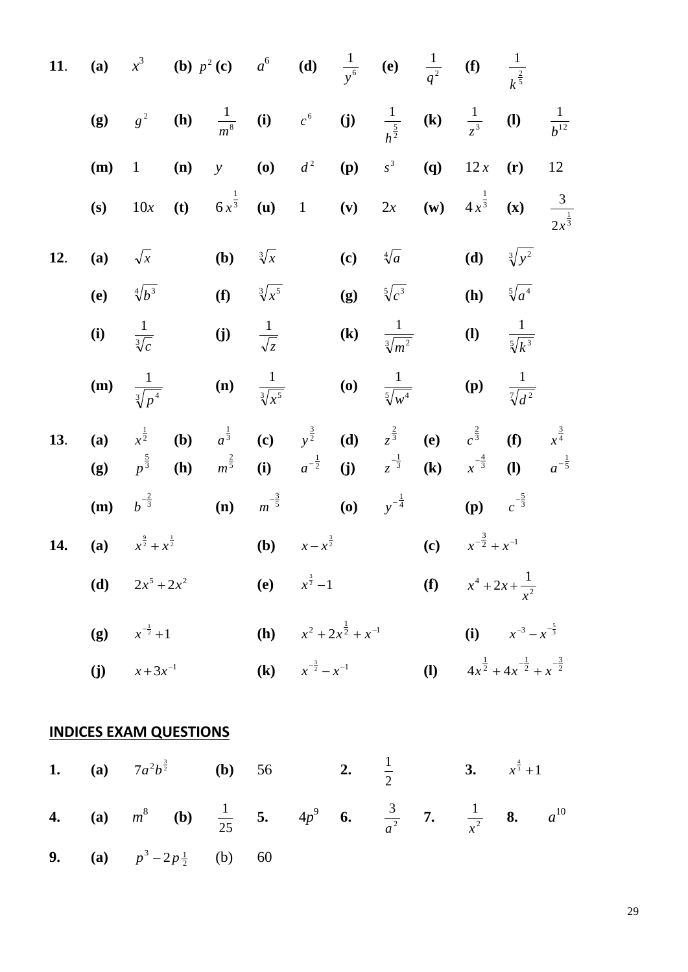11. (a) 
$$
x^3
$$
 (b)  $p^2$  (c)  $a^6$  (d)  $\frac{1}{y^6}$  (e)  $\frac{1}{q^2}$  (f)  $\frac{1}{k^{\frac{2}{3}}}$   
\n(g)  $g^2$  (h)  $\frac{1}{m^8}$  (i)  $c^6$  (j)  $\frac{1}{h^{\frac{5}{2}}}$  (k)  $\frac{1}{z^2}$  (l)  $\frac{1}{b^{12}}$   
\n(m) 1 (n) y (o)  $d^2$  (p)  $s^3$  (q) 12x (r) 12  
\n(s) 10x (t)  $6x^{\frac{1}{3}}$  (u) 1 (v) 2x (w)  $4x^{\frac{1}{3}}$  (x)  $\frac{3}{2x^{\frac{1}{3}}}$   
\n12. (a)  $\sqrt{x}$  (b)  $\sqrt[3]{x}$  (c)  $\sqrt[4]{a}$  (d)  $\sqrt[3]{y^2}$   
\n(e)  $\sqrt[4]{b^3}$  (f)  $\sqrt[3]{x^5}$  (g)  $\sqrt[3]{e^5}$  (h)  $\sqrt[3]{a^4}$   
\n(i)  $\frac{1}{\sqrt[3]{e^4}}$  (j)  $\frac{1}{\sqrt[3]{x^5}}$  (k)  $\frac{1}{\sqrt[3]{m^2}}$  (l)  $\frac{1}{\sqrt[3]{k^2}}$   
\n13. (a)  $x^{\frac{1}{2}}$  (b)  $a^{\frac{1}{3}}$  (c)  $y^{\frac{3}{2}}$  (d)  $z^{\frac{2}{3}}$  (e)  $e^{\frac{2}{3}}$  (f)  $x^{\frac{3}{4}}$   
\n(g)  $p^{\frac{3}{3}}$  (h)  $m^{\frac{2}{3}}$  (i)  $a^{-\frac{1}{2}}$  (j)  $z^{-\frac{1}{3}}$  (k)  $x^{-\frac{4}{3}}$  (l)  $a^{-\frac{1}{5}}$   
\n14. (a)  $x^{\frac{3}{2}} + x^{\frac{1}{2}}$  (b)  $x -$ 

**4.** (**a**) 
$$
m^8
$$
 (**b**)  $\frac{1}{25}$  **5.**  $4p^9$  **6.**  $\frac{3}{a^2}$  **7.**  $\frac{1}{x^2}$  **8.**  $a^{10}$   
\n**9.** (**a**)  $p^3 - 2p\frac{1}{2}$  (**b**) 60